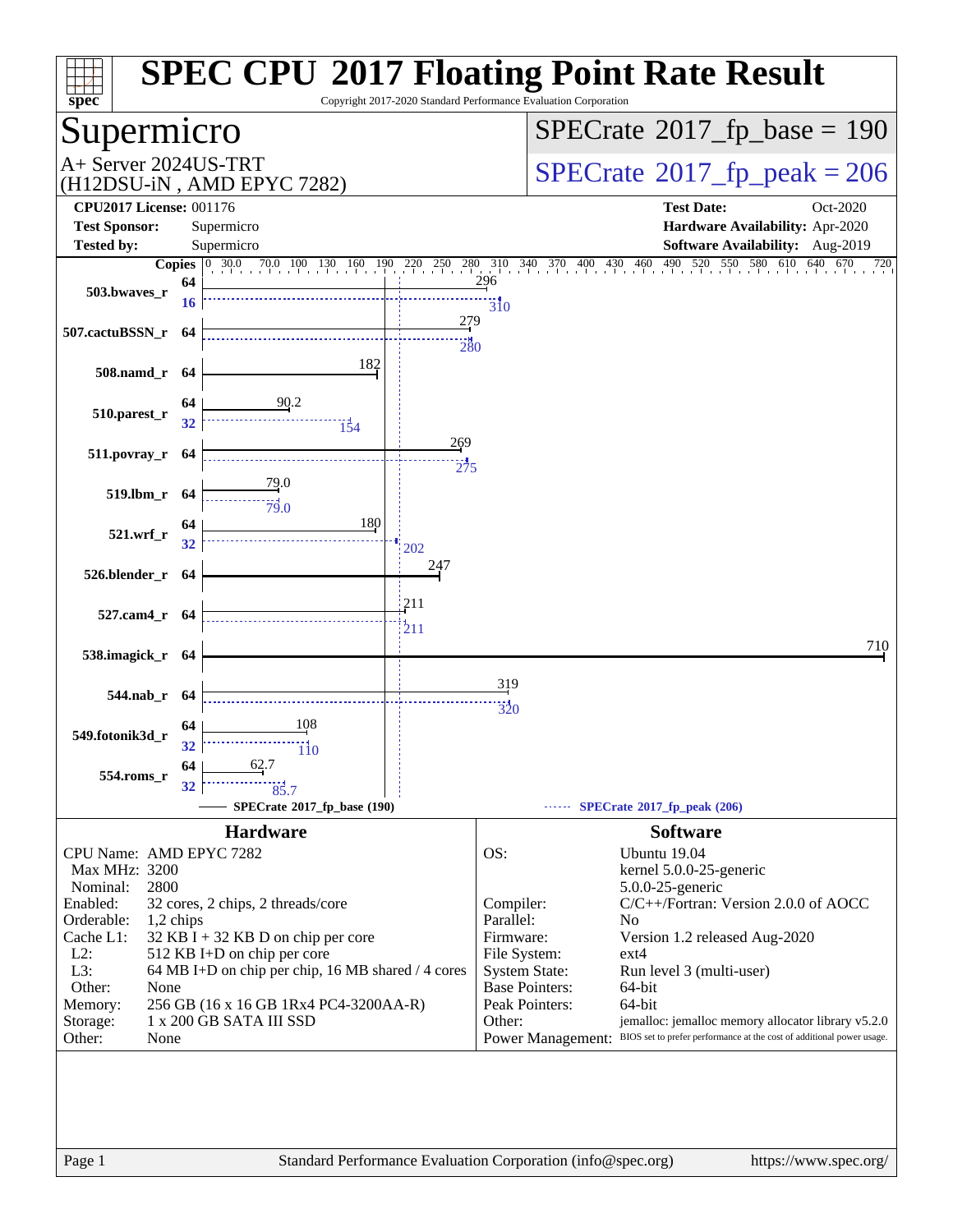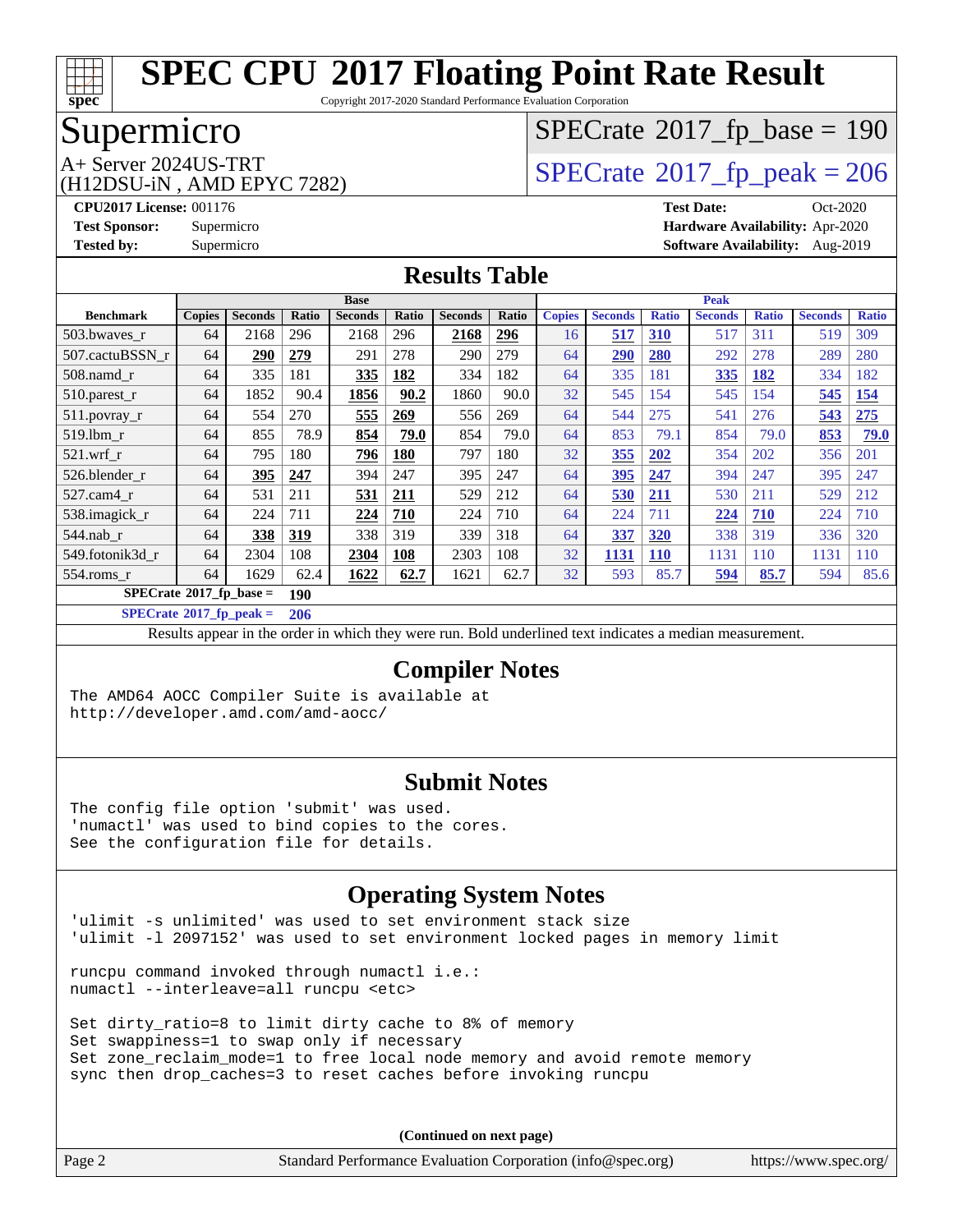

Copyright 2017-2020 Standard Performance Evaluation Corporation

## Supermicro

# (H12DSU-iN , AMD EPYC 7282)

# $SPECTate$ <sup>®</sup>[2017\\_fp\\_base =](http://www.spec.org/auto/cpu2017/Docs/result-fields.html#SPECrate2017fpbase) 190

A+ Server 2024US-TRT<br>
(H12DSU-iN AMD EPYC 7282) [SPECrate](http://www.spec.org/auto/cpu2017/Docs/result-fields.html#SPECrate2017fppeak)®[2017\\_fp\\_peak = 2](http://www.spec.org/auto/cpu2017/Docs/result-fields.html#SPECrate2017fppeak)06

**[CPU2017 License:](http://www.spec.org/auto/cpu2017/Docs/result-fields.html#CPU2017License)** 001176 **[Test Date:](http://www.spec.org/auto/cpu2017/Docs/result-fields.html#TestDate)** Oct-2020 **[Test Sponsor:](http://www.spec.org/auto/cpu2017/Docs/result-fields.html#TestSponsor)** Supermicro **[Hardware Availability:](http://www.spec.org/auto/cpu2017/Docs/result-fields.html#HardwareAvailability)** Apr-2020 **[Tested by:](http://www.spec.org/auto/cpu2017/Docs/result-fields.html#Testedby)** Supermicro **[Software Availability:](http://www.spec.org/auto/cpu2017/Docs/result-fields.html#SoftwareAvailability)** Aug-2019

### **[Results Table](http://www.spec.org/auto/cpu2017/Docs/result-fields.html#ResultsTable)**

|                                  | <b>Base</b>   |                |       |                | Peak  |                |       |               |                |              |                |              |                |              |
|----------------------------------|---------------|----------------|-------|----------------|-------|----------------|-------|---------------|----------------|--------------|----------------|--------------|----------------|--------------|
| <b>Benchmark</b>                 | <b>Copies</b> | <b>Seconds</b> | Ratio | <b>Seconds</b> | Ratio | <b>Seconds</b> | Ratio | <b>Copies</b> | <b>Seconds</b> | <b>Ratio</b> | <b>Seconds</b> | <b>Ratio</b> | <b>Seconds</b> | <b>Ratio</b> |
| 503.bwaves_r                     | 64            | 2168           | 296   | 2168           | 296   | 2168           | 296   | 16            | 517            | 310          | 517            | 311          | 519            | 309          |
| 507.cactuBSSN r                  | 64            | <b>290</b>     | 279   | 291            | 278   | 290            | 279   | 64            | 290            | <b>280</b>   | 292            | 278          | 289            | 280          |
| $508$ .namd $r$                  | 64            | 335            | 181   | 335            | 182   | 334            | 182   | 64            | 335            | 181          | 335            | 182          | 334            | 182          |
| 510.parest_r                     | 64            | 1852           | 90.4  | 1856           | 90.2  | 1860           | 90.0  | 32            | 545            | 154          | 545            | 154          | 545            | 154          |
| 511.povray_r                     | 64            | 554            | 270   | 555            | 269   | 556            | 269   | 64            | 544            | 275          | 541            | 276          | 543            | 275          |
| 519.1bm_r                        | 64            | 855            | 78.9  | 854            | 79.0  | 854            | 79.0  | 64            | 853            | 79.1         | 854            | 79.0         | 853            | 79.0         |
| $521$ .wrf r                     | 64            | 795            | 180   | 796            | 180   | 797            | 180   | 32            | 355            | 202          | 354            | 202          | 356            | 201          |
| 526.blender r                    | 64            | 395            | 247   | 394            | 247   | 395            | 247   | 64            | 395            | 247          | 394            | 247          | 395            | 247          |
| 527.cam4 r                       | 64            | 531            | 211   | 531            | 211   | 529            | 212   | 64            | 530            | <b>211</b>   | 530            | 211          | 529            | 212          |
| 538.imagick_r                    | 64            | 224            | 711   | 224            | 710   | 224            | 710   | 64            | 224            | 711          | 224            | 710          | 224            | 710          |
| $544$ .nab_r                     | 64            | 338            | 319   | 338            | 319   | 339            | 318   | 64            | 337            | 320          | 338            | 319          | 336            | 320          |
| 549.fotonik3d r                  | 64            | 2304           | 108   | 2304           | 108   | 2303           | 108   | 32            | 1131           | <b>110</b>   | 1131           | 110          | 1131           | 110          |
| $554$ .roms r                    | 64            | 1629           | 62.4  | 1622           | 62.7  | 1621           | 62.7  | 32            | 593            | 85.7         | 594            | 85.7         | 594            | 85.6         |
| $SPECrate^{\circ}2017$ fp base = |               |                | 190   |                |       |                |       |               |                |              |                |              |                |              |

**[SPECrate](http://www.spec.org/auto/cpu2017/Docs/result-fields.html#SPECrate2017fppeak)[2017\\_fp\\_peak =](http://www.spec.org/auto/cpu2017/Docs/result-fields.html#SPECrate2017fppeak) 206**

Results appear in the [order in which they were run.](http://www.spec.org/auto/cpu2017/Docs/result-fields.html#RunOrder) Bold underlined text [indicates a median measurement.](http://www.spec.org/auto/cpu2017/Docs/result-fields.html#Median)

#### **[Compiler Notes](http://www.spec.org/auto/cpu2017/Docs/result-fields.html#CompilerNotes)**

The AMD64 AOCC Compiler Suite is available at <http://developer.amd.com/amd-aocc/>

#### **[Submit Notes](http://www.spec.org/auto/cpu2017/Docs/result-fields.html#SubmitNotes)**

The config file option 'submit' was used. 'numactl' was used to bind copies to the cores. See the configuration file for details.

### **[Operating System Notes](http://www.spec.org/auto/cpu2017/Docs/result-fields.html#OperatingSystemNotes)**

'ulimit -s unlimited' was used to set environment stack size 'ulimit -l 2097152' was used to set environment locked pages in memory limit

runcpu command invoked through numactl i.e.: numactl --interleave=all runcpu <etc>

Set dirty\_ratio=8 to limit dirty cache to 8% of memory Set swappiness=1 to swap only if necessary Set zone\_reclaim\_mode=1 to free local node memory and avoid remote memory sync then drop\_caches=3 to reset caches before invoking runcpu

| Page 2<br>Standard Performance Evaluation Corporation (info@spec.org) |  | https://www.spec.org/ |
|-----------------------------------------------------------------------|--|-----------------------|
|-----------------------------------------------------------------------|--|-----------------------|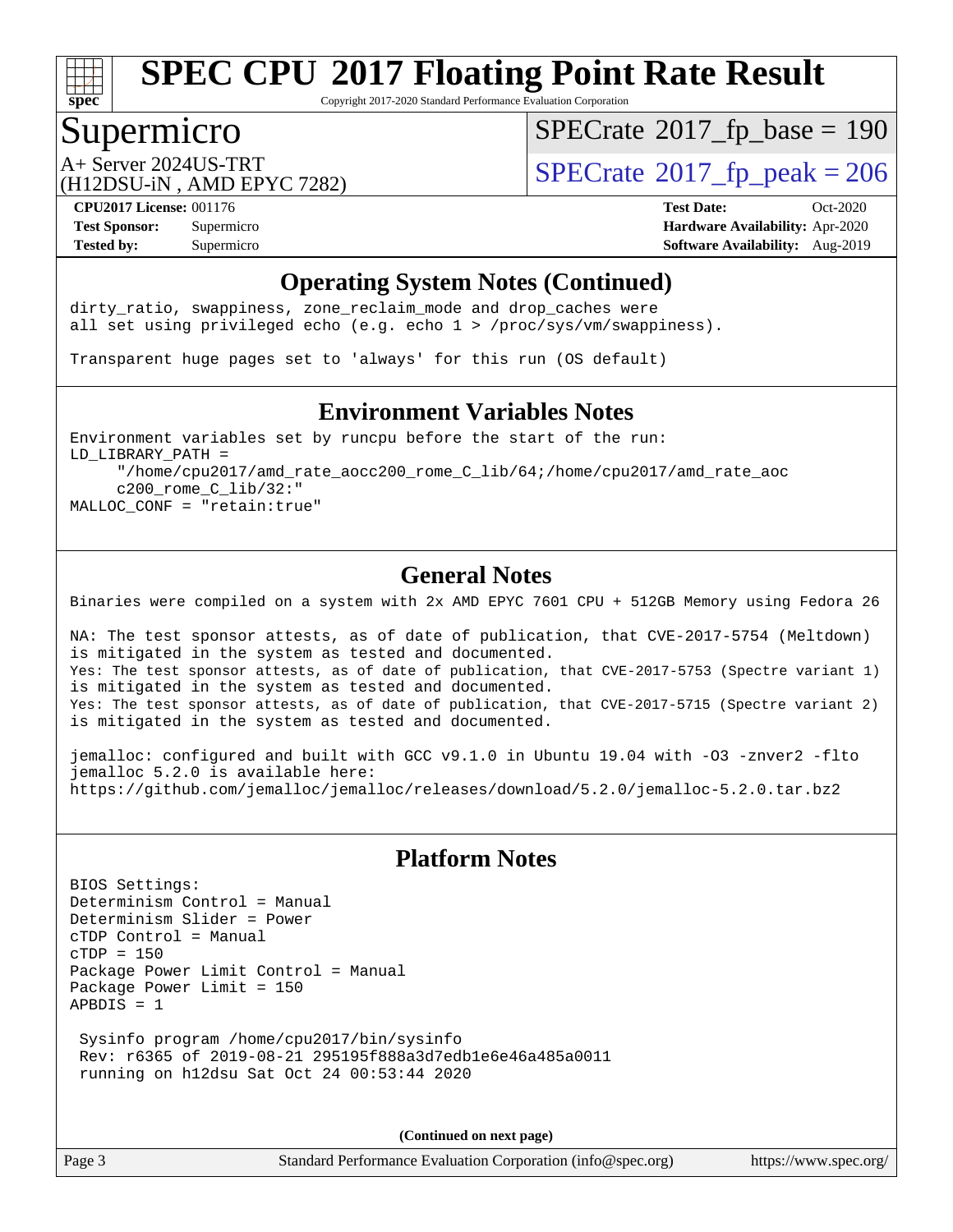

Copyright 2017-2020 Standard Performance Evaluation Corporation

## Supermicro

 $SPECTate$ <sup>®</sup>[2017\\_fp\\_base =](http://www.spec.org/auto/cpu2017/Docs/result-fields.html#SPECrate2017fpbase) 190

(H12DSU-iN , AMD EPYC 7282)

A+ Server 2024US-TRT<br>  $\langle \text{H12DSIL-N} \rangle$  AMD FPYC 7282)

**[Tested by:](http://www.spec.org/auto/cpu2017/Docs/result-fields.html#Testedby)** Supermicro **Supermicro [Software Availability:](http://www.spec.org/auto/cpu2017/Docs/result-fields.html#SoftwareAvailability)** Aug-2019

**[CPU2017 License:](http://www.spec.org/auto/cpu2017/Docs/result-fields.html#CPU2017License)** 001176 **[Test Date:](http://www.spec.org/auto/cpu2017/Docs/result-fields.html#TestDate)** Oct-2020 **[Test Sponsor:](http://www.spec.org/auto/cpu2017/Docs/result-fields.html#TestSponsor)** Supermicro **[Hardware Availability:](http://www.spec.org/auto/cpu2017/Docs/result-fields.html#HardwareAvailability)** Apr-2020

### **[Operating System Notes \(Continued\)](http://www.spec.org/auto/cpu2017/Docs/result-fields.html#OperatingSystemNotes)**

dirty\_ratio, swappiness, zone\_reclaim\_mode and drop caches were all set using privileged echo (e.g. echo 1 > /proc/sys/vm/swappiness).

Transparent huge pages set to 'always' for this run (OS default)

#### **[Environment Variables Notes](http://www.spec.org/auto/cpu2017/Docs/result-fields.html#EnvironmentVariablesNotes)**

Environment variables set by runcpu before the start of the run: LD\_LIBRARY\_PATH = "/home/cpu2017/amd\_rate\_aocc200\_rome\_C\_lib/64;/home/cpu2017/amd\_rate\_aoc c200\_rome\_C\_lib/32:" MALLOC\_CONF = "retain:true"

### **[General Notes](http://www.spec.org/auto/cpu2017/Docs/result-fields.html#GeneralNotes)**

Binaries were compiled on a system with 2x AMD EPYC 7601 CPU + 512GB Memory using Fedora 26

NA: The test sponsor attests, as of date of publication, that CVE-2017-5754 (Meltdown) is mitigated in the system as tested and documented. Yes: The test sponsor attests, as of date of publication, that CVE-2017-5753 (Spectre variant 1) is mitigated in the system as tested and documented. Yes: The test sponsor attests, as of date of publication, that CVE-2017-5715 (Spectre variant 2) is mitigated in the system as tested and documented.

jemalloc: configured and built with GCC v9.1.0 in Ubuntu 19.04 with -O3 -znver2 -flto jemalloc 5.2.0 is available here: <https://github.com/jemalloc/jemalloc/releases/download/5.2.0/jemalloc-5.2.0.tar.bz2>

### **[Platform Notes](http://www.spec.org/auto/cpu2017/Docs/result-fields.html#PlatformNotes)**

BIOS Settings: Determinism Control = Manual Determinism Slider = Power cTDP Control = Manual cTDP = 150 Package Power Limit Control = Manual Package Power Limit = 150 APBDIS = 1

 Sysinfo program /home/cpu2017/bin/sysinfo Rev: r6365 of 2019-08-21 295195f888a3d7edb1e6e46a485a0011 running on h12dsu Sat Oct 24 00:53:44 2020

**(Continued on next page)**

Page 3 Standard Performance Evaluation Corporation [\(info@spec.org\)](mailto:info@spec.org) <https://www.spec.org/>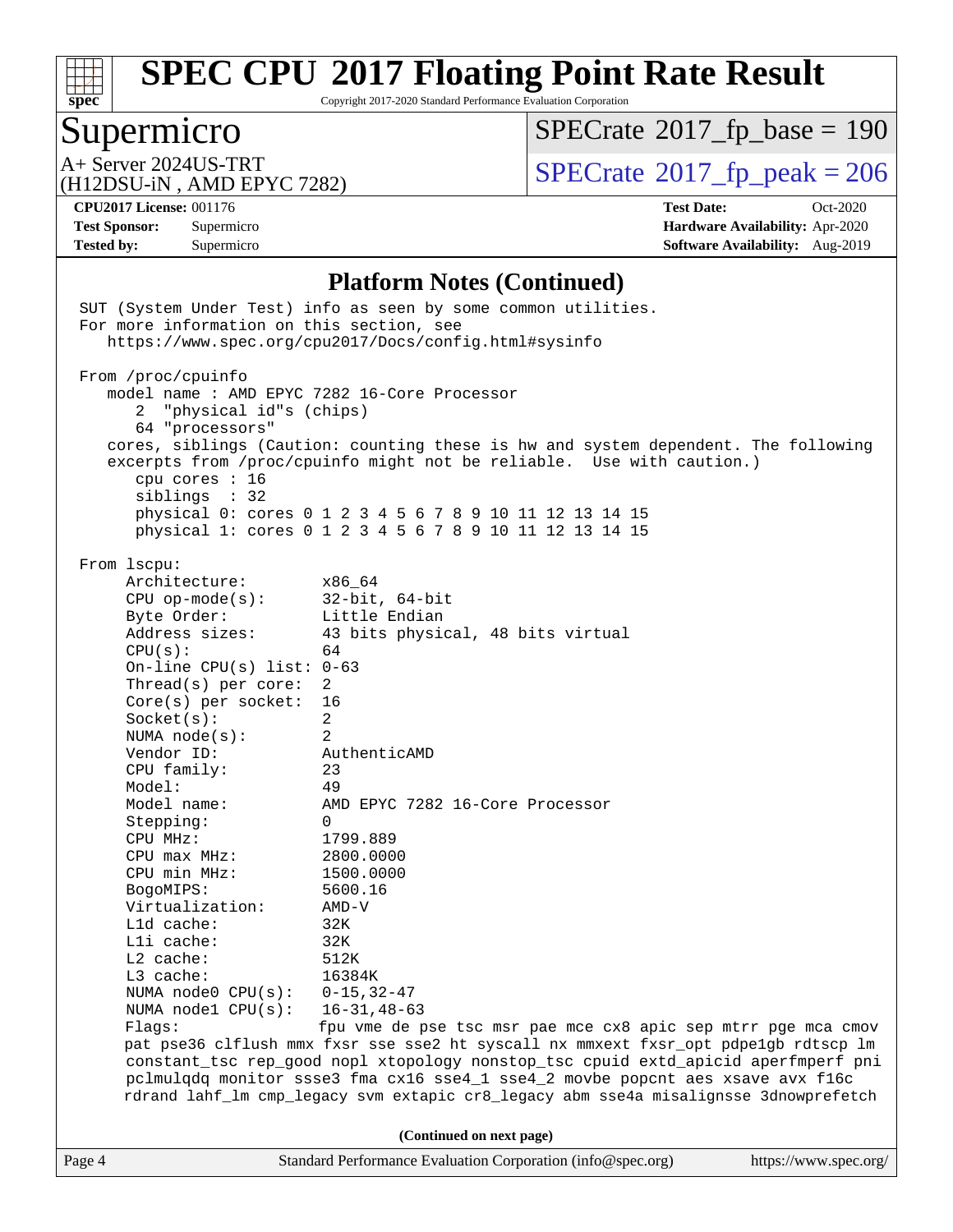

Copyright 2017-2020 Standard Performance Evaluation Corporation

# Supermicro

 $SPECrate$ <sup>®</sup>[2017\\_fp\\_base =](http://www.spec.org/auto/cpu2017/Docs/result-fields.html#SPECrate2017fpbase) 190

(H12DSU-iN , AMD EPYC 7282)

A+ Server 2024US-TRT<br>
(H12DSU-iN AMD EPYC 7282) [SPECrate](http://www.spec.org/auto/cpu2017/Docs/result-fields.html#SPECrate2017fppeak)®[2017\\_fp\\_peak = 2](http://www.spec.org/auto/cpu2017/Docs/result-fields.html#SPECrate2017fppeak)06

**[Tested by:](http://www.spec.org/auto/cpu2017/Docs/result-fields.html#Testedby)** Supermicro **Supermicro [Software Availability:](http://www.spec.org/auto/cpu2017/Docs/result-fields.html#SoftwareAvailability)** Aug-2019

**[CPU2017 License:](http://www.spec.org/auto/cpu2017/Docs/result-fields.html#CPU2017License)** 001176 **[Test Date:](http://www.spec.org/auto/cpu2017/Docs/result-fields.html#TestDate)** Oct-2020 **[Test Sponsor:](http://www.spec.org/auto/cpu2017/Docs/result-fields.html#TestSponsor)** Supermicro **[Hardware Availability:](http://www.spec.org/auto/cpu2017/Docs/result-fields.html#HardwareAvailability)** Apr-2020

#### **[Platform Notes \(Continued\)](http://www.spec.org/auto/cpu2017/Docs/result-fields.html#PlatformNotes)**

|        | For more information on this section, see                                                                                                                                                                                                                                                                                                                                                                                                                                                               | SUT (System Under Test) info as seen by some common utilities.                                                                                                                                                                                                                                                                                                                                                                                                                                                                                                                                                                                                                                                    |                       |
|--------|---------------------------------------------------------------------------------------------------------------------------------------------------------------------------------------------------------------------------------------------------------------------------------------------------------------------------------------------------------------------------------------------------------------------------------------------------------------------------------------------------------|-------------------------------------------------------------------------------------------------------------------------------------------------------------------------------------------------------------------------------------------------------------------------------------------------------------------------------------------------------------------------------------------------------------------------------------------------------------------------------------------------------------------------------------------------------------------------------------------------------------------------------------------------------------------------------------------------------------------|-----------------------|
|        |                                                                                                                                                                                                                                                                                                                                                                                                                                                                                                         | https://www.spec.org/cpu2017/Docs/config.html#sysinfo                                                                                                                                                                                                                                                                                                                                                                                                                                                                                                                                                                                                                                                             |                       |
|        | From /proc/cpuinfo<br>2 "physical id"s (chips)<br>64 "processors"<br>cpu cores : 16<br>siblings : 32                                                                                                                                                                                                                                                                                                                                                                                                    | model name : AMD EPYC 7282 16-Core Processor<br>cores, siblings (Caution: counting these is hw and system dependent. The following<br>excerpts from /proc/cpuinfo might not be reliable. Use with caution.)<br>physical 0: cores 0 1 2 3 4 5 6 7 8 9 10 11 12 13 14 15<br>physical 1: cores 0 1 2 3 4 5 6 7 8 9 10 11 12 13 14 15                                                                                                                                                                                                                                                                                                                                                                                 |                       |
|        | From 1scpu:<br>Architecture:<br>$CPU op-mode(s):$<br>Byte Order:<br>Address sizes:<br>CPU(s):<br>On-line CPU(s) list: $0-63$<br>Thread(s) per core:<br>$Core(s)$ per socket:<br>Socket(s):<br>NUMA node(s):<br>Vendor ID:<br>CPU family:<br>Model:<br>Model name:<br>Stepping:<br>CPU MHz:<br>$CPU$ max $MHz$ :<br>CPU min MHz:<br>BogoMIPS:<br>Virtualization:<br>Lld cache:<br>Lli cache:<br>$L2$ cache:<br>L3 cache:<br>NUMA node0 $CPU(s): 0-15, 32-47$<br>NUMA node1 CPU(s): 16-31,48-63<br>Flaqs: | x86 64<br>$32$ -bit, $64$ -bit<br>Little Endian<br>43 bits physical, 48 bits virtual<br>64<br>2<br>16<br>$\overline{a}$<br>2<br>AuthenticAMD<br>23<br>49<br>AMD EPYC 7282 16-Core Processor<br>0<br>1799.889<br>2800.0000<br>1500.0000<br>5600.16<br>AMD-V<br>32K<br>32K<br>512K<br>16384K<br>fpu vme de pse tsc msr pae mce cx8 apic sep mtrr pge mca cmov<br>pat pse36 clflush mmx fxsr sse sse2 ht syscall nx mmxext fxsr_opt pdpe1gb rdtscp lm<br>constant_tsc rep_good nopl xtopology nonstop_tsc cpuid extd_apicid aperfmperf pni<br>pclmulqdq monitor ssse3 fma cx16 sse4_1 sse4_2 movbe popcnt aes xsave avx f16c<br>rdrand lahf_lm cmp_legacy svm extapic cr8_legacy abm sse4a misalignsse 3dnowprefetch |                       |
|        |                                                                                                                                                                                                                                                                                                                                                                                                                                                                                                         | (Continued on next page)                                                                                                                                                                                                                                                                                                                                                                                                                                                                                                                                                                                                                                                                                          |                       |
| Page 4 |                                                                                                                                                                                                                                                                                                                                                                                                                                                                                                         | Standard Performance Evaluation Corporation (info@spec.org)                                                                                                                                                                                                                                                                                                                                                                                                                                                                                                                                                                                                                                                       | https://www.spec.org/ |
|        |                                                                                                                                                                                                                                                                                                                                                                                                                                                                                                         |                                                                                                                                                                                                                                                                                                                                                                                                                                                                                                                                                                                                                                                                                                                   |                       |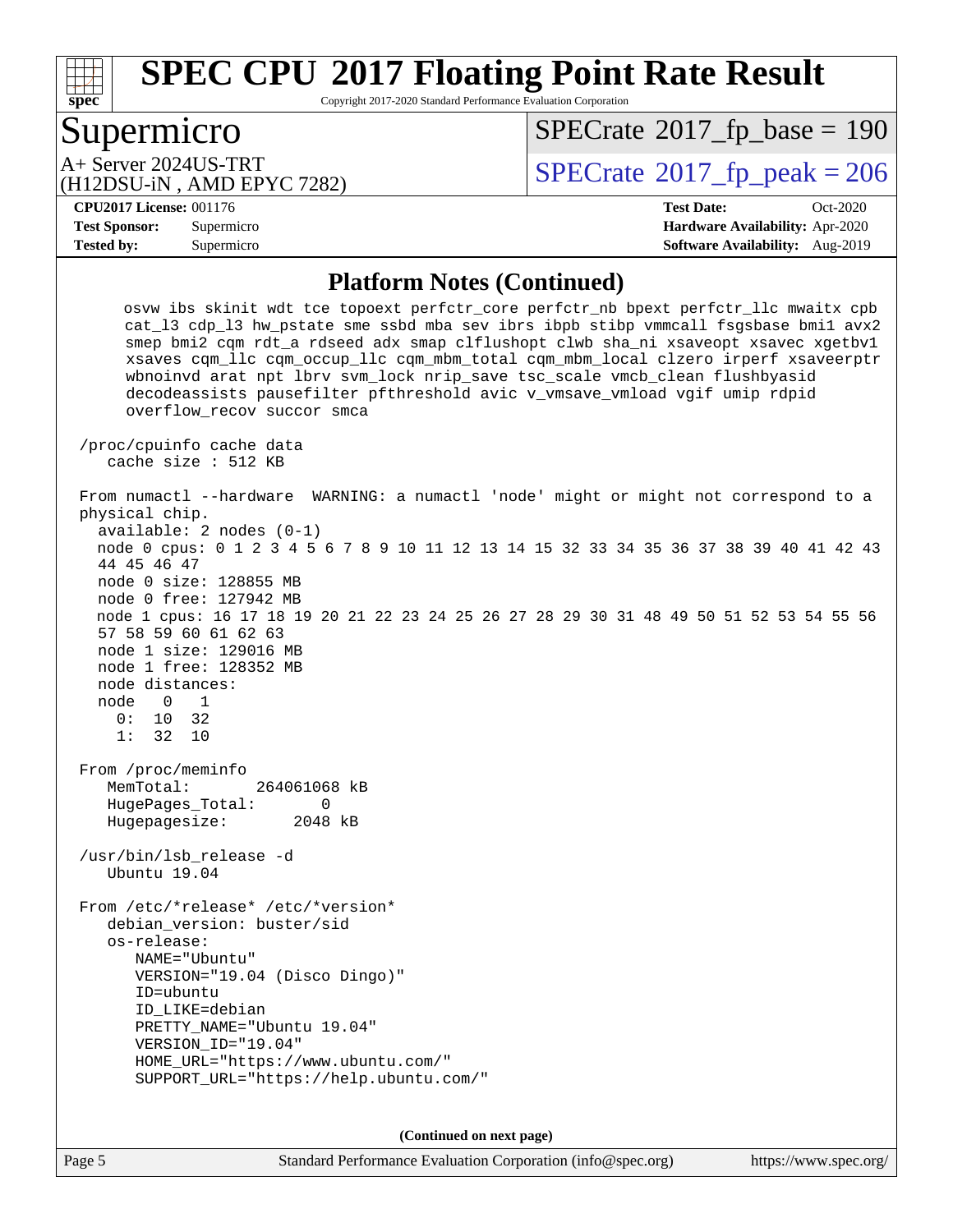# **[spec](http://www.spec.org/)**

# **[SPEC CPU](http://www.spec.org/auto/cpu2017/Docs/result-fields.html#SPECCPU2017FloatingPointRateResult)[2017 Floating Point Rate Result](http://www.spec.org/auto/cpu2017/Docs/result-fields.html#SPECCPU2017FloatingPointRateResult)**

Copyright 2017-2020 Standard Performance Evaluation Corporation

## Supermicro

 $SPECTate$ <sup>®</sup>[2017\\_fp\\_base =](http://www.spec.org/auto/cpu2017/Docs/result-fields.html#SPECrate2017fpbase) 190

(H12DSU-iN , AMD EPYC 7282)

 $A+$  Server 2024US-TRT  $\begin{array}{c|c}\n\text{SPECrate} \text{\textdegree}2017\_fp\_peak = 206 \\
\text{SPECrate} \text{\textdegree}2017\_fp\_peak = 206\n\end{array}$  $\begin{array}{c|c}\n\text{SPECrate} \text{\textdegree}2017\_fp\_peak = 206 \\
\text{SPECrate} \text{\textdegree}2017\_fp\_peak = 206\n\end{array}$  $\begin{array}{c|c}\n\text{SPECrate} \text{\textdegree}2017\_fp\_peak = 206 \\
\text{SPECrate} \text{\textdegree}2017\_fp\_peak = 206\n\end{array}$ 

#### **[CPU2017 License:](http://www.spec.org/auto/cpu2017/Docs/result-fields.html#CPU2017License)** 001176 **[Test Date:](http://www.spec.org/auto/cpu2017/Docs/result-fields.html#TestDate)** Oct-2020

**[Test Sponsor:](http://www.spec.org/auto/cpu2017/Docs/result-fields.html#TestSponsor)** Supermicro **[Hardware Availability:](http://www.spec.org/auto/cpu2017/Docs/result-fields.html#HardwareAvailability)** Apr-2020 **[Tested by:](http://www.spec.org/auto/cpu2017/Docs/result-fields.html#Testedby)** Supermicro **Supermicro [Software Availability:](http://www.spec.org/auto/cpu2017/Docs/result-fields.html#SoftwareAvailability)** Aug-2019

#### **[Platform Notes \(Continued\)](http://www.spec.org/auto/cpu2017/Docs/result-fields.html#PlatformNotes)**

 osvw ibs skinit wdt tce topoext perfctr\_core perfctr\_nb bpext perfctr\_llc mwaitx cpb cat\_l3 cdp\_l3 hw\_pstate sme ssbd mba sev ibrs ibpb stibp vmmcall fsgsbase bmi1 avx2 smep bmi2 cqm rdt\_a rdseed adx smap clflushopt clwb sha\_ni xsaveopt xsavec xgetbv1 xsaves cqm\_llc cqm\_occup\_llc cqm\_mbm\_total cqm\_mbm\_local clzero irperf xsaveerptr wbnoinvd arat npt lbrv svm\_lock nrip\_save tsc\_scale vmcb\_clean flushbyasid decodeassists pausefilter pfthreshold avic v\_vmsave\_vmload vgif umip rdpid overflow\_recov succor smca /proc/cpuinfo cache data cache size : 512 KB From numactl --hardware WARNING: a numactl 'node' might or might not correspond to a physical chip. available: 2 nodes (0-1) node 0 cpus: 0 1 2 3 4 5 6 7 8 9 10 11 12 13 14 15 32 33 34 35 36 37 38 39 40 41 42 43 44 45 46 47 node 0 size: 128855 MB node 0 free: 127942 MB node 1 cpus: 16 17 18 19 20 21 22 23 24 25 26 27 28 29 30 31 48 49 50 51 52 53 54 55 56 57 58 59 60 61 62 63 node 1 size: 129016 MB node 1 free: 128352 MB node distances: node 0 1 0: 10 32 1: 32 10 From /proc/meminfo MemTotal: 264061068 kB HugePages\_Total: 0 Hugepagesize: 2048 kB /usr/bin/lsb\_release -d Ubuntu 19.04 From /etc/\*release\* /etc/\*version\* debian\_version: buster/sid os-release: NAME="Ubuntu" VERSION="19.04 (Disco Dingo)" ID=ubuntu ID\_LIKE=debian PRETTY\_NAME="Ubuntu 19.04" VERSION\_ID="19.04" HOME\_URL="<https://www.ubuntu.com/"> SUPPORT\_URL="<https://help.ubuntu.com/"> **(Continued on next page)**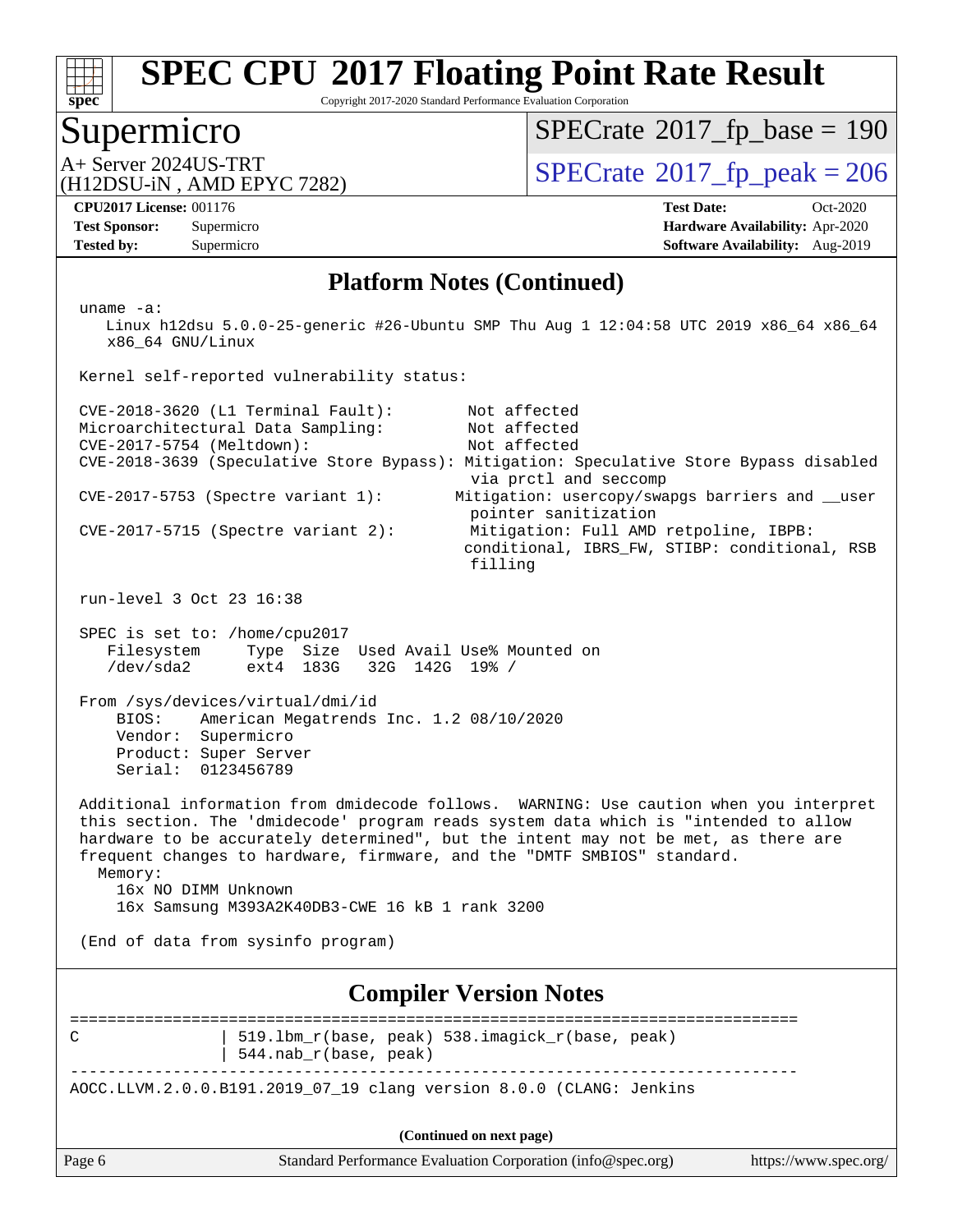

Copyright 2017-2020 Standard Performance Evaluation Corporation

## Supermicro

 $SPECTate$ <sup>®</sup>[2017\\_fp\\_base =](http://www.spec.org/auto/cpu2017/Docs/result-fields.html#SPECrate2017fpbase) 190

(H12DSU-iN , AMD EPYC 7282)

 $A+$  Server 2024US-TRT  $\begin{array}{c|c}\n\text{SPECrate} \text{\textdegree}2017\_fp\_peak = 206 \\
\text{SPECrate} \text{\textdegree}2017\_fp\_peak = 206\n\end{array}$  $\begin{array}{c|c}\n\text{SPECrate} \text{\textdegree}2017\_fp\_peak = 206 \\
\text{SPECrate} \text{\textdegree}2017\_fp\_peak = 206\n\end{array}$  $\begin{array}{c|c}\n\text{SPECrate} \text{\textdegree}2017\_fp\_peak = 206 \\
\text{SPECrate} \text{\textdegree}2017\_fp\_peak = 206\n\end{array}$ 

**[Tested by:](http://www.spec.org/auto/cpu2017/Docs/result-fields.html#Testedby)** Supermicro **Supermicro [Software Availability:](http://www.spec.org/auto/cpu2017/Docs/result-fields.html#SoftwareAvailability)** Aug-2019

**[CPU2017 License:](http://www.spec.org/auto/cpu2017/Docs/result-fields.html#CPU2017License)** 001176 **[Test Date:](http://www.spec.org/auto/cpu2017/Docs/result-fields.html#TestDate)** Oct-2020 **[Test Sponsor:](http://www.spec.org/auto/cpu2017/Docs/result-fields.html#TestSponsor)** Supermicro **[Hardware Availability:](http://www.spec.org/auto/cpu2017/Docs/result-fields.html#HardwareAvailability)** Apr-2020

#### **[Platform Notes \(Continued\)](http://www.spec.org/auto/cpu2017/Docs/result-fields.html#PlatformNotes)**

Page 6 Standard Performance Evaluation Corporation [\(info@spec.org\)](mailto:info@spec.org) <https://www.spec.org/> uname -a: Linux h12dsu 5.0.0-25-generic #26-Ubuntu SMP Thu Aug 1 12:04:58 UTC 2019 x86\_64 x86\_64 x86\_64 GNU/Linux Kernel self-reported vulnerability status: CVE-2018-3620 (L1 Terminal Fault): Not affected Microarchitectural Data Sampling: Not affected<br>CVE-2017-5754 (Meltdown): Not affected  $CVE-2017-5754$  (Meltdown): CVE-2018-3639 (Speculative Store Bypass): Mitigation: Speculative Store Bypass disabled via prctl and seccomp CVE-2017-5753 (Spectre variant 1): Mitigation: usercopy/swapgs barriers and \_\_user pointer sanitization CVE-2017-5715 (Spectre variant 2): Mitigation: Full AMD retpoline, IBPB: conditional, IBRS\_FW, STIBP: conditional, RSB filling run-level 3 Oct 23 16:38 SPEC is set to: /home/cpu2017 Filesystem Type Size Used Avail Use% Mounted on /dev/sda2 ext4 183G 32G 142G 19% / From /sys/devices/virtual/dmi/id BIOS: American Megatrends Inc. 1.2 08/10/2020 Vendor: Supermicro Product: Super Server Serial: 0123456789 Additional information from dmidecode follows. WARNING: Use caution when you interpret this section. The 'dmidecode' program reads system data which is "intended to allow hardware to be accurately determined", but the intent may not be met, as there are frequent changes to hardware, firmware, and the "DMTF SMBIOS" standard. Memory: 16x NO DIMM Unknown 16x Samsung M393A2K40DB3-CWE 16 kB 1 rank 3200 (End of data from sysinfo program) **[Compiler Version Notes](http://www.spec.org/auto/cpu2017/Docs/result-fields.html#CompilerVersionNotes)** ============================================================================== C 19.1bm r(base, peak) 538.imagick r(base, peak) | 544.nab\_r(base, peak) ------------------------------------------------------------------------------ AOCC.LLVM.2.0.0.B191.2019\_07\_19 clang version 8.0.0 (CLANG: Jenkins **(Continued on next page)**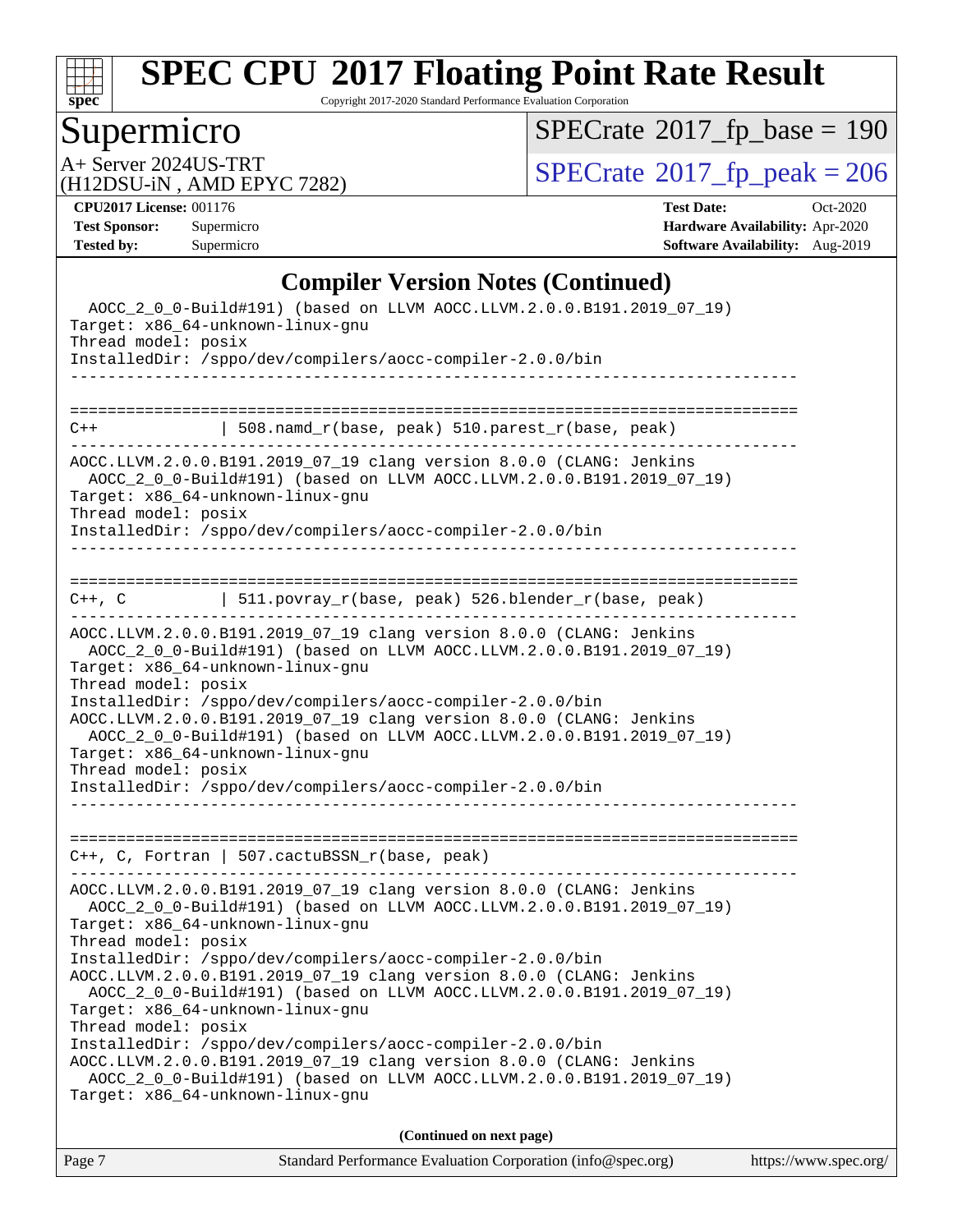

Copyright 2017-2020 Standard Performance Evaluation Corporation

# Supermicro

 $SPECrate$ <sup>®</sup>[2017\\_fp\\_base =](http://www.spec.org/auto/cpu2017/Docs/result-fields.html#SPECrate2017fpbase) 190

(H12DSU-iN , AMD EPYC 7282)

A+ Server 2024US-TRT<br>
(H12DSU-iN AMD EPYC 7282) [SPECrate](http://www.spec.org/auto/cpu2017/Docs/result-fields.html#SPECrate2017fppeak)®[2017\\_fp\\_peak = 2](http://www.spec.org/auto/cpu2017/Docs/result-fields.html#SPECrate2017fppeak)06

**[CPU2017 License:](http://www.spec.org/auto/cpu2017/Docs/result-fields.html#CPU2017License)** 001176 **[Test Date:](http://www.spec.org/auto/cpu2017/Docs/result-fields.html#TestDate)** Oct-2020 **[Test Sponsor:](http://www.spec.org/auto/cpu2017/Docs/result-fields.html#TestSponsor)** Supermicro **[Hardware Availability:](http://www.spec.org/auto/cpu2017/Docs/result-fields.html#HardwareAvailability)** Apr-2020 **[Tested by:](http://www.spec.org/auto/cpu2017/Docs/result-fields.html#Testedby)** Supermicro **[Software Availability:](http://www.spec.org/auto/cpu2017/Docs/result-fields.html#SoftwareAvailability)** Aug-2019

### **[Compiler Version Notes \(Continued\)](http://www.spec.org/auto/cpu2017/Docs/result-fields.html#CompilerVersionNotes)**

| Thread model: posix<br>Target: x86 64-unknown-linux-gnu                                      | Target: x86_64-unknown-linux-gnu<br>InstalledDir: /sppo/dev/compilers/aocc-compiler-2.0.0/bin<br>AOCC.LLVM.2.0.0.B191.2019 07 19 clanq version 8.0.0 (CLANG: Jenkins<br>AOCC_2_0_0-Build#191) (based on LLVM AOCC.LLVM.2.0.0.B191.2019_07_19) |  |
|----------------------------------------------------------------------------------------------|-----------------------------------------------------------------------------------------------------------------------------------------------------------------------------------------------------------------------------------------------|--|
| Thread model: posix                                                                          | InstalledDir: /sppo/dev/compilers/aocc-compiler-2.0.0/bin<br>AOCC.LLVM.2.0.0.B191.2019_07_19 clang version 8.0.0 (CLANG: Jenkins<br>AOCC_2_0_0-Build#191) (based on LLVM AOCC.LLVM.2.0.0.B191.2019_07_19)                                     |  |
|                                                                                              | AOCC.LLVM.2.0.0.B191.2019_07_19 clang version 8.0.0 (CLANG: Jenkins<br>AOCC_2_0_0-Build#191) (based on LLVM AOCC.LLVM.2.0.0.B191.2019_07_19)<br>Target: x86_64-unknown-linux-gnu                                                              |  |
|                                                                                              | $C++$ , C, Fortran   507.cactuBSSN_r(base, peak)                                                                                                                                                                                              |  |
| Thread model: posix                                                                          | AOCC_2_0_0-Build#191) (based on LLVM AOCC.LLVM.2.0.0.B191.2019_07_19)<br>Target: x86_64-unknown-linux-gnu<br>InstalledDir: /sppo/dev/compilers/aocc-compiler-2.0.0/bin                                                                        |  |
| Thread model: posix                                                                          | AOCC_2_0_0-Build#191) (based on LLVM AOCC.LLVM.2.0.0.B191.2019_07_19)<br>Target: x86_64-unknown-linux-gnu<br>InstalledDir: /sppo/dev/compilers/aocc-compiler-2.0.0/bin<br>AOCC.LLVM.2.0.0.B191.2019_07_19 clang version 8.0.0 (CLANG: Jenkins |  |
|                                                                                              | AOCC.LLVM.2.0.0.B191.2019_07_19 clang version 8.0.0 (CLANG: Jenkins                                                                                                                                                                           |  |
|                                                                                              | C++, C $  511.povray_r(base, peak) 526.blender_r(base, peak)$                                                                                                                                                                                 |  |
| Thread model: posix                                                                          | AOCC_2_0_0-Build#191) (based on LLVM AOCC.LLVM.2.0.0.B191.2019_07_19)<br>Target: x86 64-unknown-linux-gnu<br>InstalledDir: /sppo/dev/compilers/aocc-compiler-2.0.0/bin                                                                        |  |
|                                                                                              | AOCC.LLVM.2.0.0.B191.2019_07_19 clang version 8.0.0 (CLANG: Jenkins                                                                                                                                                                           |  |
| $C++$                                                                                        | $508.namd_r(base, peak) 510.parest_r(base, peak)$                                                                                                                                                                                             |  |
|                                                                                              | InstalledDir: /sppo/dev/compilers/aocc-compiler-2.0.0/bin                                                                                                                                                                                     |  |
| AOCC_2_0_0-Build#191) (based on LLVM AOCC.LLVM.2.0.0.B191.2019_07_19)<br>Thread model: posix | Target: x86_64-unknown-linux-gnu                                                                                                                                                                                                              |  |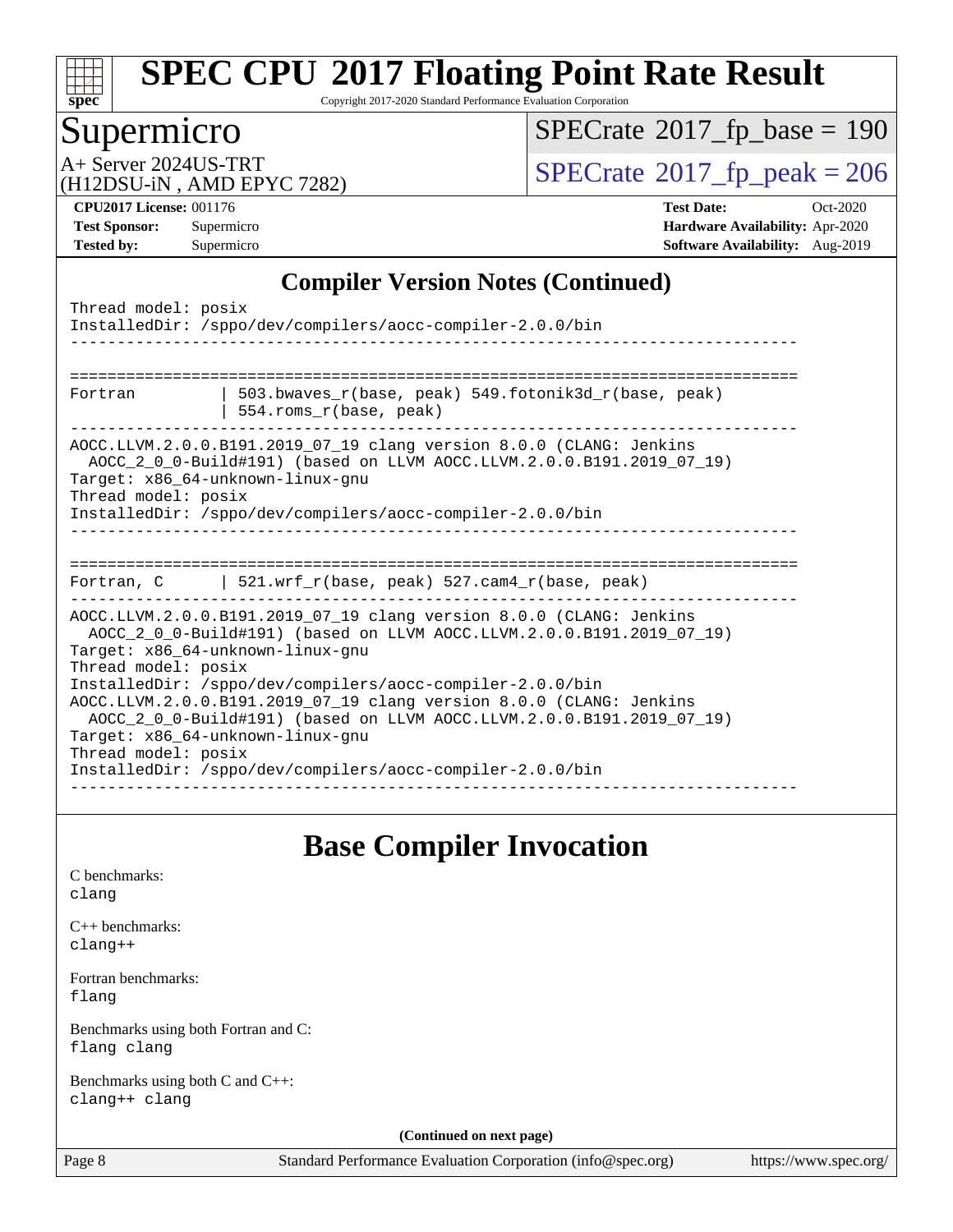

Copyright 2017-2020 Standard Performance Evaluation Corporation

## Supermicro

 $SPECrate$ <sup>®</sup>[2017\\_fp\\_base =](http://www.spec.org/auto/cpu2017/Docs/result-fields.html#SPECrate2017fpbase) 190

(H12DSU-iN , AMD EPYC 7282)

A+ Server 2024US-TRT<br>
(H12DSU-iN AMD EPYC 7282) [SPECrate](http://www.spec.org/auto/cpu2017/Docs/result-fields.html#SPECrate2017fppeak)®[2017\\_fp\\_peak = 2](http://www.spec.org/auto/cpu2017/Docs/result-fields.html#SPECrate2017fppeak)06

**[CPU2017 License:](http://www.spec.org/auto/cpu2017/Docs/result-fields.html#CPU2017License)** 001176 **[Test Date:](http://www.spec.org/auto/cpu2017/Docs/result-fields.html#TestDate)** Oct-2020 **[Test Sponsor:](http://www.spec.org/auto/cpu2017/Docs/result-fields.html#TestSponsor)** Supermicro **[Hardware Availability:](http://www.spec.org/auto/cpu2017/Docs/result-fields.html#HardwareAvailability)** Apr-2020 **[Tested by:](http://www.spec.org/auto/cpu2017/Docs/result-fields.html#Testedby)** Supermicro **[Software Availability:](http://www.spec.org/auto/cpu2017/Docs/result-fields.html#SoftwareAvailability)** Aug-2019

### **[Compiler Version Notes \(Continued\)](http://www.spec.org/auto/cpu2017/Docs/result-fields.html#CompilerVersionNotes)**

| Thread model: posix                        | InstalledDir: /sppo/dev/compilers/aocc-compiler-2.0.0/bin                                                                                                                                                                                                                                                                                                                                                                                                                                      |
|--------------------------------------------|------------------------------------------------------------------------------------------------------------------------------------------------------------------------------------------------------------------------------------------------------------------------------------------------------------------------------------------------------------------------------------------------------------------------------------------------------------------------------------------------|
| Fortran                                    | 503.bwaves $r(base, peak)$ 549.fotonik3d $r(base, peak)$<br>554.roms_r(base, peak)                                                                                                                                                                                                                                                                                                                                                                                                             |
| Thread model: posix                        | AOCC.LLVM.2.0.0.B191.2019_07_19 clang version 8.0.0 (CLANG: Jenkins<br>AOCC_2_0_0-Build#191) (based on LLVM AOCC.LLVM.2.0.0.B191.2019_07_19)<br>Target: x86 64-unknown-linux-gnu<br>InstalledDir: /sppo/dev/compilers/aocc-compiler-2.0.0/bin                                                                                                                                                                                                                                                  |
|                                            | Fortran, C $\vert$ 521.wrf r(base, peak) 527.cam4 r(base, peak)                                                                                                                                                                                                                                                                                                                                                                                                                                |
| Thread model: posix<br>Thread model: posix | AOCC.LLVM.2.0.0.B191.2019 07 19 clang version 8.0.0 (CLANG: Jenkins<br>AOCC_2_0_0-Build#191) (based on LLVM AOCC.LLVM.2.0.0.B191.2019_07_19)<br>Target: x86 64-unknown-linux-gnu<br>InstalledDir: /sppo/dev/compilers/aocc-compiler-2.0.0/bin<br>AOCC.LLVM.2.0.0.B191.2019_07_19 clang version 8.0.0 (CLANG: Jenkins<br>AOCC_2_0_0-Build#191) (based on LLVM AOCC.LLVM.2.0.0.B191.2019_07_19)<br>Target: x86 64-unknown-linux-gnu<br>InstalledDir: /sppo/dev/compilers/aocc-compiler-2.0.0/bin |

## **[Base Compiler Invocation](http://www.spec.org/auto/cpu2017/Docs/result-fields.html#BaseCompilerInvocation)**

[C benchmarks](http://www.spec.org/auto/cpu2017/Docs/result-fields.html#Cbenchmarks): [clang](http://www.spec.org/cpu2017/results/res2020q4/cpu2017-20201027-24309.flags.html#user_CCbase_clang-c)

[C++ benchmarks:](http://www.spec.org/auto/cpu2017/Docs/result-fields.html#CXXbenchmarks) [clang++](http://www.spec.org/cpu2017/results/res2020q4/cpu2017-20201027-24309.flags.html#user_CXXbase_clang-cpp)

[Fortran benchmarks](http://www.spec.org/auto/cpu2017/Docs/result-fields.html#Fortranbenchmarks): [flang](http://www.spec.org/cpu2017/results/res2020q4/cpu2017-20201027-24309.flags.html#user_FCbase_flang)

[Benchmarks using both Fortran and C](http://www.spec.org/auto/cpu2017/Docs/result-fields.html#BenchmarksusingbothFortranandC): [flang](http://www.spec.org/cpu2017/results/res2020q4/cpu2017-20201027-24309.flags.html#user_CC_FCbase_flang) [clang](http://www.spec.org/cpu2017/results/res2020q4/cpu2017-20201027-24309.flags.html#user_CC_FCbase_clang-c)

[Benchmarks using both C and C++](http://www.spec.org/auto/cpu2017/Docs/result-fields.html#BenchmarksusingbothCandCXX): [clang++](http://www.spec.org/cpu2017/results/res2020q4/cpu2017-20201027-24309.flags.html#user_CC_CXXbase_clang-cpp) [clang](http://www.spec.org/cpu2017/results/res2020q4/cpu2017-20201027-24309.flags.html#user_CC_CXXbase_clang-c)

**(Continued on next page)**

Page 8 Standard Performance Evaluation Corporation [\(info@spec.org\)](mailto:info@spec.org) <https://www.spec.org/>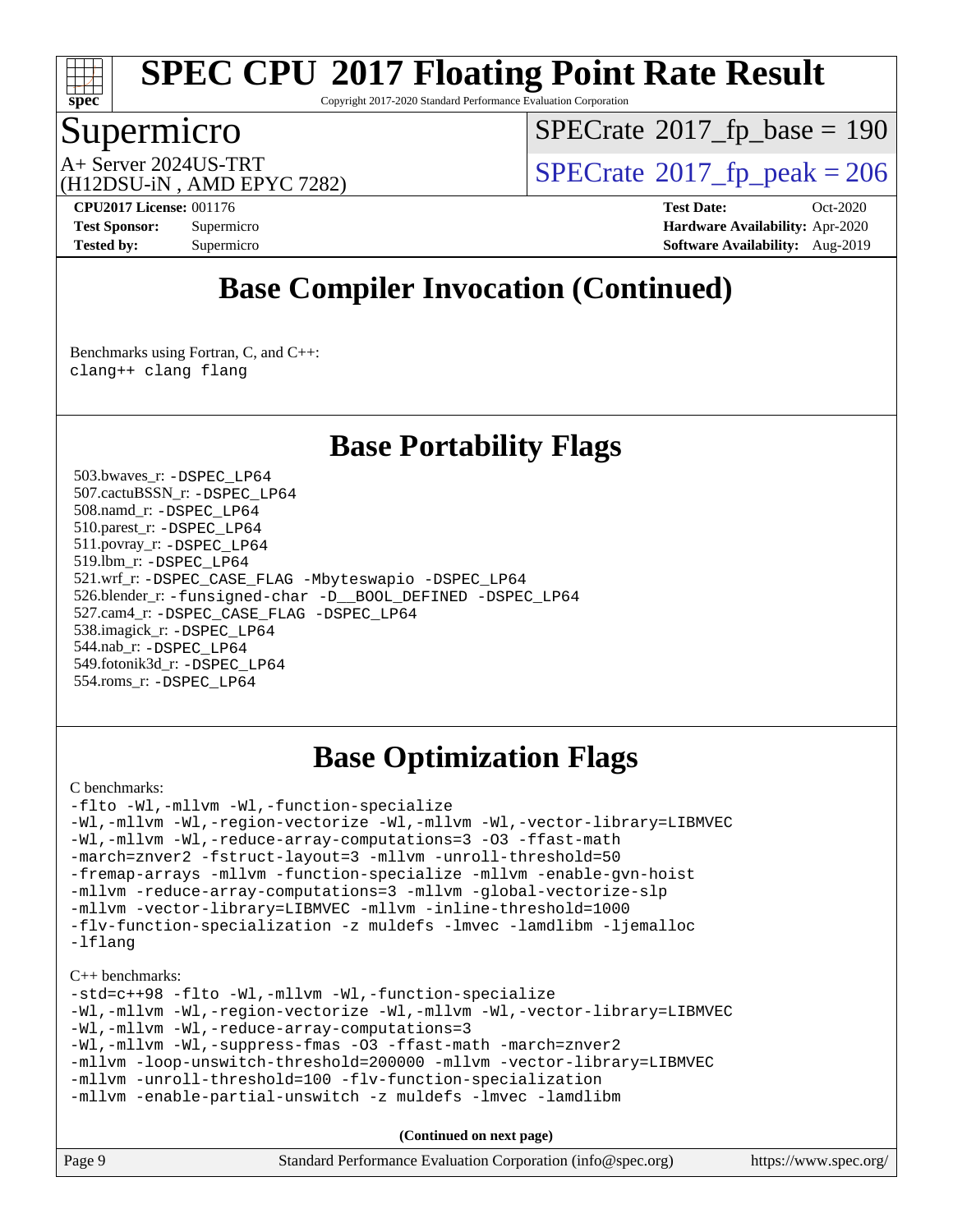

Copyright 2017-2020 Standard Performance Evaluation Corporation

## Supermicro

 $SPECTate$ <sup>®</sup>[2017\\_fp\\_base =](http://www.spec.org/auto/cpu2017/Docs/result-fields.html#SPECrate2017fpbase) 190

(H12DSU-iN , AMD EPYC 7282)

A+ Server 2024US-TRT<br>  $\langle \text{H12DSIL-N} \rangle$  AMD FPYC 7282)

**[CPU2017 License:](http://www.spec.org/auto/cpu2017/Docs/result-fields.html#CPU2017License)** 001176 **[Test Date:](http://www.spec.org/auto/cpu2017/Docs/result-fields.html#TestDate)** Oct-2020 **[Test Sponsor:](http://www.spec.org/auto/cpu2017/Docs/result-fields.html#TestSponsor)** Supermicro **[Hardware Availability:](http://www.spec.org/auto/cpu2017/Docs/result-fields.html#HardwareAvailability)** Apr-2020 **[Tested by:](http://www.spec.org/auto/cpu2017/Docs/result-fields.html#Testedby)** Supermicro **Supermicro [Software Availability:](http://www.spec.org/auto/cpu2017/Docs/result-fields.html#SoftwareAvailability)** Aug-2019

# **[Base Compiler Invocation \(Continued\)](http://www.spec.org/auto/cpu2017/Docs/result-fields.html#BaseCompilerInvocation)**

[Benchmarks using Fortran, C, and C++:](http://www.spec.org/auto/cpu2017/Docs/result-fields.html#BenchmarksusingFortranCandCXX) [clang++](http://www.spec.org/cpu2017/results/res2020q4/cpu2017-20201027-24309.flags.html#user_CC_CXX_FCbase_clang-cpp) [clang](http://www.spec.org/cpu2017/results/res2020q4/cpu2017-20201027-24309.flags.html#user_CC_CXX_FCbase_clang-c) [flang](http://www.spec.org/cpu2017/results/res2020q4/cpu2017-20201027-24309.flags.html#user_CC_CXX_FCbase_flang)

## **[Base Portability Flags](http://www.spec.org/auto/cpu2017/Docs/result-fields.html#BasePortabilityFlags)**

 503.bwaves\_r: [-DSPEC\\_LP64](http://www.spec.org/cpu2017/results/res2020q4/cpu2017-20201027-24309.flags.html#suite_baseEXTRA_PORTABILITY503_bwaves_r_DSPEC_LP64) 507.cactuBSSN\_r: [-DSPEC\\_LP64](http://www.spec.org/cpu2017/results/res2020q4/cpu2017-20201027-24309.flags.html#suite_baseEXTRA_PORTABILITY507_cactuBSSN_r_DSPEC_LP64) 508.namd\_r: [-DSPEC\\_LP64](http://www.spec.org/cpu2017/results/res2020q4/cpu2017-20201027-24309.flags.html#suite_baseEXTRA_PORTABILITY508_namd_r_DSPEC_LP64) 510.parest\_r: [-DSPEC\\_LP64](http://www.spec.org/cpu2017/results/res2020q4/cpu2017-20201027-24309.flags.html#suite_baseEXTRA_PORTABILITY510_parest_r_DSPEC_LP64) 511.povray\_r: [-DSPEC\\_LP64](http://www.spec.org/cpu2017/results/res2020q4/cpu2017-20201027-24309.flags.html#suite_baseEXTRA_PORTABILITY511_povray_r_DSPEC_LP64) 519.lbm\_r: [-DSPEC\\_LP64](http://www.spec.org/cpu2017/results/res2020q4/cpu2017-20201027-24309.flags.html#suite_baseEXTRA_PORTABILITY519_lbm_r_DSPEC_LP64) 521.wrf\_r: [-DSPEC\\_CASE\\_FLAG](http://www.spec.org/cpu2017/results/res2020q4/cpu2017-20201027-24309.flags.html#b521.wrf_r_baseCPORTABILITY_DSPEC_CASE_FLAG) [-Mbyteswapio](http://www.spec.org/cpu2017/results/res2020q4/cpu2017-20201027-24309.flags.html#user_baseFPORTABILITY521_wrf_r_F-mbyteswapio_543c39ce38db59bcbc3b888917ef58c313007ae1c27520b689e012995ae261114051d1d5efcb4182d175ce22a6a15532d3a9999882dd2c360e6d853f41da6883) [-DSPEC\\_LP64](http://www.spec.org/cpu2017/results/res2020q4/cpu2017-20201027-24309.flags.html#suite_baseEXTRA_PORTABILITY521_wrf_r_DSPEC_LP64) 526.blender\_r: [-funsigned-char](http://www.spec.org/cpu2017/results/res2020q4/cpu2017-20201027-24309.flags.html#user_baseCPORTABILITY526_blender_r_aocc-unsigned-char) [-D\\_\\_BOOL\\_DEFINED](http://www.spec.org/cpu2017/results/res2020q4/cpu2017-20201027-24309.flags.html#b526.blender_r_baseCXXPORTABILITY_D__BOOL_DEFINED) [-DSPEC\\_LP64](http://www.spec.org/cpu2017/results/res2020q4/cpu2017-20201027-24309.flags.html#suite_baseEXTRA_PORTABILITY526_blender_r_DSPEC_LP64) 527.cam4\_r: [-DSPEC\\_CASE\\_FLAG](http://www.spec.org/cpu2017/results/res2020q4/cpu2017-20201027-24309.flags.html#b527.cam4_r_basePORTABILITY_DSPEC_CASE_FLAG) [-DSPEC\\_LP64](http://www.spec.org/cpu2017/results/res2020q4/cpu2017-20201027-24309.flags.html#suite_baseEXTRA_PORTABILITY527_cam4_r_DSPEC_LP64) 538.imagick\_r: [-DSPEC\\_LP64](http://www.spec.org/cpu2017/results/res2020q4/cpu2017-20201027-24309.flags.html#suite_baseEXTRA_PORTABILITY538_imagick_r_DSPEC_LP64) 544.nab\_r: [-DSPEC\\_LP64](http://www.spec.org/cpu2017/results/res2020q4/cpu2017-20201027-24309.flags.html#suite_baseEXTRA_PORTABILITY544_nab_r_DSPEC_LP64) 549.fotonik3d\_r: [-DSPEC\\_LP64](http://www.spec.org/cpu2017/results/res2020q4/cpu2017-20201027-24309.flags.html#suite_baseEXTRA_PORTABILITY549_fotonik3d_r_DSPEC_LP64) 554.roms\_r: [-DSPEC\\_LP64](http://www.spec.org/cpu2017/results/res2020q4/cpu2017-20201027-24309.flags.html#suite_baseEXTRA_PORTABILITY554_roms_r_DSPEC_LP64)

## **[Base Optimization Flags](http://www.spec.org/auto/cpu2017/Docs/result-fields.html#BaseOptimizationFlags)**

#### [C benchmarks](http://www.spec.org/auto/cpu2017/Docs/result-fields.html#Cbenchmarks):

[-flto](http://www.spec.org/cpu2017/results/res2020q4/cpu2017-20201027-24309.flags.html#user_CCbase_aocc-flto) [-Wl,-mllvm -Wl,-function-specialize](http://www.spec.org/cpu2017/results/res2020q4/cpu2017-20201027-24309.flags.html#user_CCbase_F-function-specialize_7e7e661e57922243ee67c9a1251cb8910e607325179a0ce7f2884e09a6f5d4a5ef0ae4f37e8a2a11c95fc48e931f06dc2b6016f14b511fcb441e048bef1b065a) [-Wl,-mllvm -Wl,-region-vectorize](http://www.spec.org/cpu2017/results/res2020q4/cpu2017-20201027-24309.flags.html#user_CCbase_F-region-vectorize_fb6c6b5aa293c88efc6c7c2b52b20755e943585b1fe8658c35afef78727fff56e1a56891413c30e36b8e2a6f9a71126986319243e80eb6110b78b288f533c52b) [-Wl,-mllvm -Wl,-vector-library=LIBMVEC](http://www.spec.org/cpu2017/results/res2020q4/cpu2017-20201027-24309.flags.html#user_CCbase_F-use-vector-library_0a14b27fae317f283640384a31f7bfcc2bd4c1d0b5cfc618a3a430800c9b20217b00f61303eff223a3251b4f06ffbc9739dc5296db9d1fbb9ad24a3939d86d66) [-Wl,-mllvm -Wl,-reduce-array-computations=3](http://www.spec.org/cpu2017/results/res2020q4/cpu2017-20201027-24309.flags.html#user_CCbase_F-reduce-array-computations_b882aefe7a5dda4e33149f6299762b9a720dace3e498e13756f4c04e5a19edf5315c1f3993de2e61ec41e8c206231f84e05da7040e1bb5d69ba27d10a12507e4) [-O3](http://www.spec.org/cpu2017/results/res2020q4/cpu2017-20201027-24309.flags.html#user_CCbase_F-O3) [-ffast-math](http://www.spec.org/cpu2017/results/res2020q4/cpu2017-20201027-24309.flags.html#user_CCbase_aocc-ffast-math) [-march=znver2](http://www.spec.org/cpu2017/results/res2020q4/cpu2017-20201027-24309.flags.html#user_CCbase_aocc-march_3e2e19cff2eeef60c5d90b059483627c9ea47eca6d66670dbd53f9185f6439e27eb5e104cf773e9e8ab18c8842ce63e461a3e948d0214bd567ef3ade411bf467) [-fstruct-layout=3](http://www.spec.org/cpu2017/results/res2020q4/cpu2017-20201027-24309.flags.html#user_CCbase_F-struct-layout) [-mllvm -unroll-threshold=50](http://www.spec.org/cpu2017/results/res2020q4/cpu2017-20201027-24309.flags.html#user_CCbase_F-unroll-threshold_458874500b2c105d6d5cb4d7a611c40e2b16e9e3d26b355fea72d644c3673b4de4b3932662f0ed3dbec75c491a13da2d2ca81180bd779dc531083ef1e1e549dc) [-fremap-arrays](http://www.spec.org/cpu2017/results/res2020q4/cpu2017-20201027-24309.flags.html#user_CCbase_F-fremap-arrays) [-mllvm -function-specialize](http://www.spec.org/cpu2017/results/res2020q4/cpu2017-20201027-24309.flags.html#user_CCbase_F-function-specialize_233b3bdba86027f1b094368157e481c5bc59f40286dc25bfadc1858dcd5745c24fd30d5f188710db7fea399bcc9f44a80b3ce3aacc70a8870250c3ae5e1f35b8) [-mllvm -enable-gvn-hoist](http://www.spec.org/cpu2017/results/res2020q4/cpu2017-20201027-24309.flags.html#user_CCbase_F-enable-gvn-hoist_e5856354646dd6ca1333a0ad99b817e4cf8932b91b82809fd8fd47ceff7b22a89eba5c98fd3e3fa5200368fd772cec3dd56abc3c8f7b655a71b9f9848dddedd5) [-mllvm -reduce-array-computations=3](http://www.spec.org/cpu2017/results/res2020q4/cpu2017-20201027-24309.flags.html#user_CCbase_F-reduce-array-computations_aceadb8604558b566e0e3a0d7a3c1533923dd1fa0889614e16288028922629a28d5695c24d3b3be4306b1e311c54317dfffe3a2e57fbcaabc737a1798de39145) [-mllvm -global-vectorize-slp](http://www.spec.org/cpu2017/results/res2020q4/cpu2017-20201027-24309.flags.html#user_CCbase_F-global-vectorize-slp_a3935e8627af4ced727033b1ffd4db27f4d541a363d28d82bf4c2925fb3a0fd4115d6e42d13a2829f9e024d6608eb67a85cb49770f2da5c5ac8dbc737afad603) [-mllvm -vector-library=LIBMVEC](http://www.spec.org/cpu2017/results/res2020q4/cpu2017-20201027-24309.flags.html#user_CCbase_F-use-vector-library_e584e20b4f7ec96aa109254b65d8e01d864f3d68580371b9d93ed7c338191d4cfce20c3c864632264effc6bbe4c7c38153d02096a342ee92501c4a53204a7871) [-mllvm -inline-threshold=1000](http://www.spec.org/cpu2017/results/res2020q4/cpu2017-20201027-24309.flags.html#user_CCbase_dragonegg-llvm-inline-threshold_b7832241b0a6397e4ecdbaf0eb7defdc10f885c2a282fa3240fdc99844d543fda39cf8a4a9dccf68cf19b5438ac3b455264f478df15da0f4988afa40d8243bab) [-flv-function-specialization](http://www.spec.org/cpu2017/results/res2020q4/cpu2017-20201027-24309.flags.html#user_CCbase_F-flv-function-specialization) [-z muldefs](http://www.spec.org/cpu2017/results/res2020q4/cpu2017-20201027-24309.flags.html#user_CCbase_aocc-muldefs) [-lmvec](http://www.spec.org/cpu2017/results/res2020q4/cpu2017-20201027-24309.flags.html#user_CCbase_F-lmvec) [-lamdlibm](http://www.spec.org/cpu2017/results/res2020q4/cpu2017-20201027-24309.flags.html#user_CCbase_F-lamdlibm) [-ljemalloc](http://www.spec.org/cpu2017/results/res2020q4/cpu2017-20201027-24309.flags.html#user_CCbase_jemalloc-lib) [-lflang](http://www.spec.org/cpu2017/results/res2020q4/cpu2017-20201027-24309.flags.html#user_CCbase_F-lflang)

#### [C++ benchmarks:](http://www.spec.org/auto/cpu2017/Docs/result-fields.html#CXXbenchmarks)

```
-std=c++98 -flto -Wl,-mllvm -Wl,-function-specialize
-Wl,-mllvm -Wl,-region-vectorize -Wl,-mllvm -Wl,-vector-library=LIBMVEC
-Wl,-mllvm -Wl,-reduce-array-computations=3
-Wl,-mllvm -Wl,-suppress-fmas -O3 -ffast-math -march=znver2
-mllvm -loop-unswitch-threshold=200000 -mllvm -vector-library=LIBMVEC
-mllvm -unroll-threshold=100 -flv-function-specialization
-mllvm -enable-partial-unswitch -z muldefs -lmvec -lamdlibm
```

| Page 9<br>Standard Performance Evaluation Corporation (info@spec.org)<br>https://www.spec.org/ |
|------------------------------------------------------------------------------------------------|
|------------------------------------------------------------------------------------------------|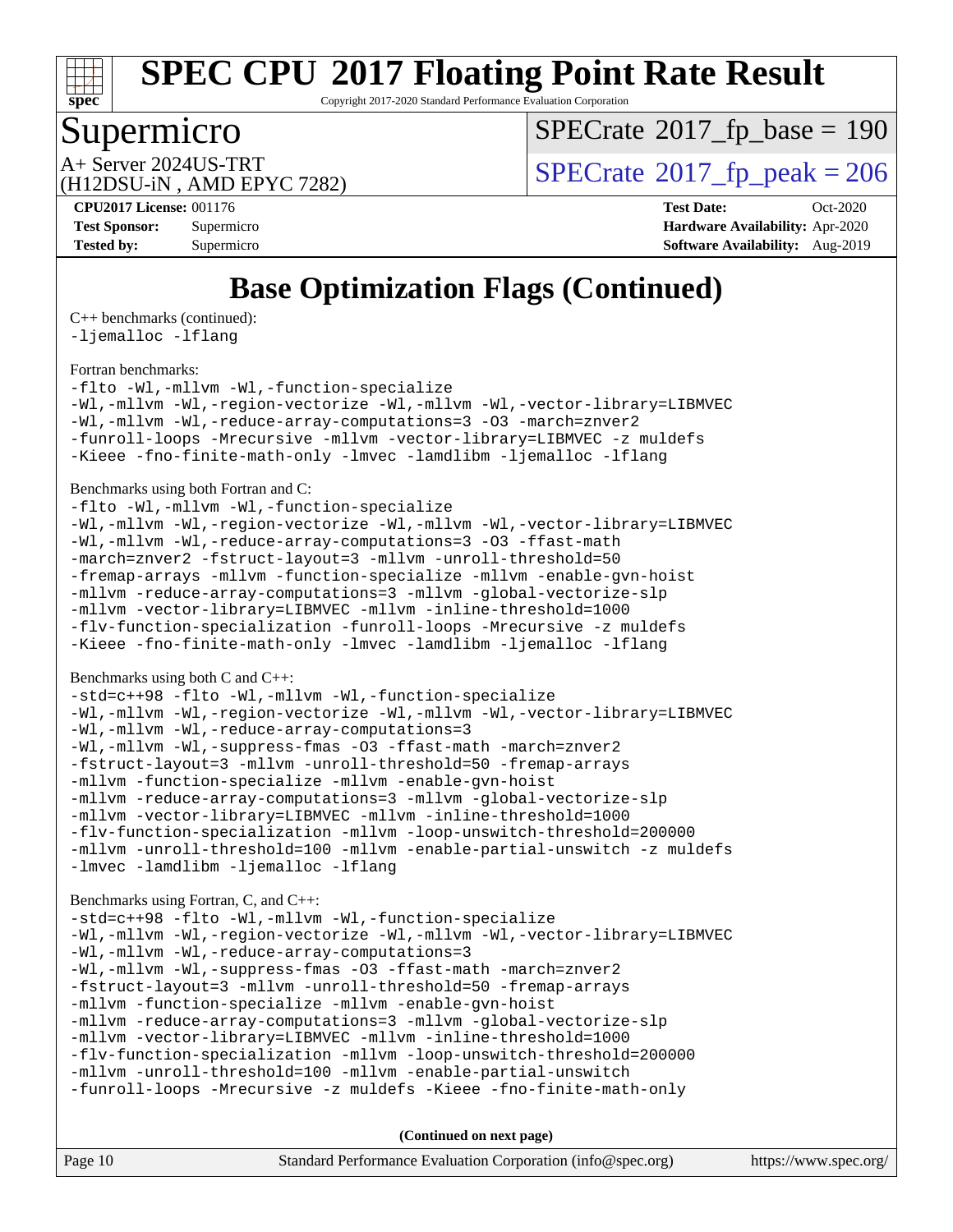

Copyright 2017-2020 Standard Performance Evaluation Corporation

## Supermicro

 $SPECTate$ <sup>®</sup>[2017\\_fp\\_base =](http://www.spec.org/auto/cpu2017/Docs/result-fields.html#SPECrate2017fpbase) 190

(H12DSU-iN , AMD EPYC 7282)

A+ Server 2024US-TRT<br>  $\langle \text{H12DSIL-N} \rangle$  AMD FPYC 7282)

**[Tested by:](http://www.spec.org/auto/cpu2017/Docs/result-fields.html#Testedby)** Supermicro **Supermicro [Software Availability:](http://www.spec.org/auto/cpu2017/Docs/result-fields.html#SoftwareAvailability)** Aug-2019

**[CPU2017 License:](http://www.spec.org/auto/cpu2017/Docs/result-fields.html#CPU2017License)** 001176 **[Test Date:](http://www.spec.org/auto/cpu2017/Docs/result-fields.html#TestDate)** Oct-2020 **[Test Sponsor:](http://www.spec.org/auto/cpu2017/Docs/result-fields.html#TestSponsor)** Supermicro **[Hardware Availability:](http://www.spec.org/auto/cpu2017/Docs/result-fields.html#HardwareAvailability)** Apr-2020

# **[Base Optimization Flags \(Continued\)](http://www.spec.org/auto/cpu2017/Docs/result-fields.html#BaseOptimizationFlags)**

[C++ benchmarks](http://www.spec.org/auto/cpu2017/Docs/result-fields.html#CXXbenchmarks) (continued): [-ljemalloc](http://www.spec.org/cpu2017/results/res2020q4/cpu2017-20201027-24309.flags.html#user_CXXbase_jemalloc-lib) [-lflang](http://www.spec.org/cpu2017/results/res2020q4/cpu2017-20201027-24309.flags.html#user_CXXbase_F-lflang)

#### [Fortran benchmarks](http://www.spec.org/auto/cpu2017/Docs/result-fields.html#Fortranbenchmarks):

[-flto](http://www.spec.org/cpu2017/results/res2020q4/cpu2017-20201027-24309.flags.html#user_FCbase_aocc-flto) [-Wl,-mllvm -Wl,-function-specialize](http://www.spec.org/cpu2017/results/res2020q4/cpu2017-20201027-24309.flags.html#user_FCbase_F-function-specialize_7e7e661e57922243ee67c9a1251cb8910e607325179a0ce7f2884e09a6f5d4a5ef0ae4f37e8a2a11c95fc48e931f06dc2b6016f14b511fcb441e048bef1b065a) [-Wl,-mllvm -Wl,-region-vectorize](http://www.spec.org/cpu2017/results/res2020q4/cpu2017-20201027-24309.flags.html#user_FCbase_F-region-vectorize_fb6c6b5aa293c88efc6c7c2b52b20755e943585b1fe8658c35afef78727fff56e1a56891413c30e36b8e2a6f9a71126986319243e80eb6110b78b288f533c52b) [-Wl,-mllvm -Wl,-vector-library=LIBMVEC](http://www.spec.org/cpu2017/results/res2020q4/cpu2017-20201027-24309.flags.html#user_FCbase_F-use-vector-library_0a14b27fae317f283640384a31f7bfcc2bd4c1d0b5cfc618a3a430800c9b20217b00f61303eff223a3251b4f06ffbc9739dc5296db9d1fbb9ad24a3939d86d66) [-Wl,-mllvm -Wl,-reduce-array-computations=3](http://www.spec.org/cpu2017/results/res2020q4/cpu2017-20201027-24309.flags.html#user_FCbase_F-reduce-array-computations_b882aefe7a5dda4e33149f6299762b9a720dace3e498e13756f4c04e5a19edf5315c1f3993de2e61ec41e8c206231f84e05da7040e1bb5d69ba27d10a12507e4) [-O3](http://www.spec.org/cpu2017/results/res2020q4/cpu2017-20201027-24309.flags.html#user_FCbase_F-O3) [-march=znver2](http://www.spec.org/cpu2017/results/res2020q4/cpu2017-20201027-24309.flags.html#user_FCbase_aocc-march_3e2e19cff2eeef60c5d90b059483627c9ea47eca6d66670dbd53f9185f6439e27eb5e104cf773e9e8ab18c8842ce63e461a3e948d0214bd567ef3ade411bf467) [-funroll-loops](http://www.spec.org/cpu2017/results/res2020q4/cpu2017-20201027-24309.flags.html#user_FCbase_aocc-unroll-loops) [-Mrecursive](http://www.spec.org/cpu2017/results/res2020q4/cpu2017-20201027-24309.flags.html#user_FCbase_F-mrecursive_20a145d63f12d5750a899e17d4450b5b8b40330a9bb4af13688ca650e6fb30857bbbe44fb35cdbb895df6e5b2769de0a0d7659f51ff17acfbef6febafec4023f) [-mllvm -vector-library=LIBMVEC](http://www.spec.org/cpu2017/results/res2020q4/cpu2017-20201027-24309.flags.html#user_FCbase_F-use-vector-library_e584e20b4f7ec96aa109254b65d8e01d864f3d68580371b9d93ed7c338191d4cfce20c3c864632264effc6bbe4c7c38153d02096a342ee92501c4a53204a7871) [-z muldefs](http://www.spec.org/cpu2017/results/res2020q4/cpu2017-20201027-24309.flags.html#user_FCbase_aocc-muldefs) [-Kieee](http://www.spec.org/cpu2017/results/res2020q4/cpu2017-20201027-24309.flags.html#user_FCbase_F-kieee) [-fno-finite-math-only](http://www.spec.org/cpu2017/results/res2020q4/cpu2017-20201027-24309.flags.html#user_FCbase_aocc-fno-finite-math-only) [-lmvec](http://www.spec.org/cpu2017/results/res2020q4/cpu2017-20201027-24309.flags.html#user_FCbase_F-lmvec) [-lamdlibm](http://www.spec.org/cpu2017/results/res2020q4/cpu2017-20201027-24309.flags.html#user_FCbase_F-lamdlibm) [-ljemalloc](http://www.spec.org/cpu2017/results/res2020q4/cpu2017-20201027-24309.flags.html#user_FCbase_jemalloc-lib) [-lflang](http://www.spec.org/cpu2017/results/res2020q4/cpu2017-20201027-24309.flags.html#user_FCbase_F-lflang)

#### [Benchmarks using both Fortran and C](http://www.spec.org/auto/cpu2017/Docs/result-fields.html#BenchmarksusingbothFortranandC):

[-flto](http://www.spec.org/cpu2017/results/res2020q4/cpu2017-20201027-24309.flags.html#user_CC_FCbase_aocc-flto) [-Wl,-mllvm -Wl,-function-specialize](http://www.spec.org/cpu2017/results/res2020q4/cpu2017-20201027-24309.flags.html#user_CC_FCbase_F-function-specialize_7e7e661e57922243ee67c9a1251cb8910e607325179a0ce7f2884e09a6f5d4a5ef0ae4f37e8a2a11c95fc48e931f06dc2b6016f14b511fcb441e048bef1b065a) [-Wl,-mllvm -Wl,-region-vectorize](http://www.spec.org/cpu2017/results/res2020q4/cpu2017-20201027-24309.flags.html#user_CC_FCbase_F-region-vectorize_fb6c6b5aa293c88efc6c7c2b52b20755e943585b1fe8658c35afef78727fff56e1a56891413c30e36b8e2a6f9a71126986319243e80eb6110b78b288f533c52b) [-Wl,-mllvm -Wl,-vector-library=LIBMVEC](http://www.spec.org/cpu2017/results/res2020q4/cpu2017-20201027-24309.flags.html#user_CC_FCbase_F-use-vector-library_0a14b27fae317f283640384a31f7bfcc2bd4c1d0b5cfc618a3a430800c9b20217b00f61303eff223a3251b4f06ffbc9739dc5296db9d1fbb9ad24a3939d86d66) [-Wl,-mllvm -Wl,-reduce-array-computations=3](http://www.spec.org/cpu2017/results/res2020q4/cpu2017-20201027-24309.flags.html#user_CC_FCbase_F-reduce-array-computations_b882aefe7a5dda4e33149f6299762b9a720dace3e498e13756f4c04e5a19edf5315c1f3993de2e61ec41e8c206231f84e05da7040e1bb5d69ba27d10a12507e4) [-O3](http://www.spec.org/cpu2017/results/res2020q4/cpu2017-20201027-24309.flags.html#user_CC_FCbase_F-O3) [-ffast-math](http://www.spec.org/cpu2017/results/res2020q4/cpu2017-20201027-24309.flags.html#user_CC_FCbase_aocc-ffast-math) [-march=znver2](http://www.spec.org/cpu2017/results/res2020q4/cpu2017-20201027-24309.flags.html#user_CC_FCbase_aocc-march_3e2e19cff2eeef60c5d90b059483627c9ea47eca6d66670dbd53f9185f6439e27eb5e104cf773e9e8ab18c8842ce63e461a3e948d0214bd567ef3ade411bf467) [-fstruct-layout=3](http://www.spec.org/cpu2017/results/res2020q4/cpu2017-20201027-24309.flags.html#user_CC_FCbase_F-struct-layout) [-mllvm -unroll-threshold=50](http://www.spec.org/cpu2017/results/res2020q4/cpu2017-20201027-24309.flags.html#user_CC_FCbase_F-unroll-threshold_458874500b2c105d6d5cb4d7a611c40e2b16e9e3d26b355fea72d644c3673b4de4b3932662f0ed3dbec75c491a13da2d2ca81180bd779dc531083ef1e1e549dc) [-fremap-arrays](http://www.spec.org/cpu2017/results/res2020q4/cpu2017-20201027-24309.flags.html#user_CC_FCbase_F-fremap-arrays) [-mllvm -function-specialize](http://www.spec.org/cpu2017/results/res2020q4/cpu2017-20201027-24309.flags.html#user_CC_FCbase_F-function-specialize_233b3bdba86027f1b094368157e481c5bc59f40286dc25bfadc1858dcd5745c24fd30d5f188710db7fea399bcc9f44a80b3ce3aacc70a8870250c3ae5e1f35b8) [-mllvm -enable-gvn-hoist](http://www.spec.org/cpu2017/results/res2020q4/cpu2017-20201027-24309.flags.html#user_CC_FCbase_F-enable-gvn-hoist_e5856354646dd6ca1333a0ad99b817e4cf8932b91b82809fd8fd47ceff7b22a89eba5c98fd3e3fa5200368fd772cec3dd56abc3c8f7b655a71b9f9848dddedd5) [-mllvm -reduce-array-computations=3](http://www.spec.org/cpu2017/results/res2020q4/cpu2017-20201027-24309.flags.html#user_CC_FCbase_F-reduce-array-computations_aceadb8604558b566e0e3a0d7a3c1533923dd1fa0889614e16288028922629a28d5695c24d3b3be4306b1e311c54317dfffe3a2e57fbcaabc737a1798de39145) [-mllvm -global-vectorize-slp](http://www.spec.org/cpu2017/results/res2020q4/cpu2017-20201027-24309.flags.html#user_CC_FCbase_F-global-vectorize-slp_a3935e8627af4ced727033b1ffd4db27f4d541a363d28d82bf4c2925fb3a0fd4115d6e42d13a2829f9e024d6608eb67a85cb49770f2da5c5ac8dbc737afad603) [-mllvm -vector-library=LIBMVEC](http://www.spec.org/cpu2017/results/res2020q4/cpu2017-20201027-24309.flags.html#user_CC_FCbase_F-use-vector-library_e584e20b4f7ec96aa109254b65d8e01d864f3d68580371b9d93ed7c338191d4cfce20c3c864632264effc6bbe4c7c38153d02096a342ee92501c4a53204a7871) [-mllvm -inline-threshold=1000](http://www.spec.org/cpu2017/results/res2020q4/cpu2017-20201027-24309.flags.html#user_CC_FCbase_dragonegg-llvm-inline-threshold_b7832241b0a6397e4ecdbaf0eb7defdc10f885c2a282fa3240fdc99844d543fda39cf8a4a9dccf68cf19b5438ac3b455264f478df15da0f4988afa40d8243bab) [-flv-function-specialization](http://www.spec.org/cpu2017/results/res2020q4/cpu2017-20201027-24309.flags.html#user_CC_FCbase_F-flv-function-specialization) [-funroll-loops](http://www.spec.org/cpu2017/results/res2020q4/cpu2017-20201027-24309.flags.html#user_CC_FCbase_aocc-unroll-loops) [-Mrecursive](http://www.spec.org/cpu2017/results/res2020q4/cpu2017-20201027-24309.flags.html#user_CC_FCbase_F-mrecursive_20a145d63f12d5750a899e17d4450b5b8b40330a9bb4af13688ca650e6fb30857bbbe44fb35cdbb895df6e5b2769de0a0d7659f51ff17acfbef6febafec4023f) [-z muldefs](http://www.spec.org/cpu2017/results/res2020q4/cpu2017-20201027-24309.flags.html#user_CC_FCbase_aocc-muldefs) [-Kieee](http://www.spec.org/cpu2017/results/res2020q4/cpu2017-20201027-24309.flags.html#user_CC_FCbase_F-kieee) [-fno-finite-math-only](http://www.spec.org/cpu2017/results/res2020q4/cpu2017-20201027-24309.flags.html#user_CC_FCbase_aocc-fno-finite-math-only) [-lmvec](http://www.spec.org/cpu2017/results/res2020q4/cpu2017-20201027-24309.flags.html#user_CC_FCbase_F-lmvec) [-lamdlibm](http://www.spec.org/cpu2017/results/res2020q4/cpu2017-20201027-24309.flags.html#user_CC_FCbase_F-lamdlibm) [-ljemalloc](http://www.spec.org/cpu2017/results/res2020q4/cpu2017-20201027-24309.flags.html#user_CC_FCbase_jemalloc-lib) [-lflang](http://www.spec.org/cpu2017/results/res2020q4/cpu2017-20201027-24309.flags.html#user_CC_FCbase_F-lflang)

#### [Benchmarks using both C and C++](http://www.spec.org/auto/cpu2017/Docs/result-fields.html#BenchmarksusingbothCandCXX):

```
-std=c++98 -flto -Wl,-mllvm -Wl,-function-specialize
-Wl,-mllvm -Wl,-region-vectorize -Wl,-mllvm -Wl,-vector-library=LIBMVEC
-Wl,-mllvm -Wl,-reduce-array-computations=3
-Wl,-mllvm -Wl,-suppress-fmas -O3 -ffast-math -march=znver2
-fstruct-layout=3 -mllvm -unroll-threshold=50 -fremap-arrays
-mllvm -function-specialize -mllvm -enable-gvn-hoist
-mllvm -reduce-array-computations=3 -mllvm -global-vectorize-slp
-mllvm -vector-library=LIBMVEC -mllvm -inline-threshold=1000
-flv-function-specialization -mllvm -loop-unswitch-threshold=200000
-mllvm -unroll-threshold=100 -mllvm -enable-partial-unswitch -z muldefs
-lmvec-lamdlibm-ljemalloc-lflang
```
#### [Benchmarks using Fortran, C, and C++:](http://www.spec.org/auto/cpu2017/Docs/result-fields.html#BenchmarksusingFortranCandCXX)

```
-std=c++98 -flto -Wl,-mllvm -Wl,-function-specialize
-Wl,-mllvm -Wl,-region-vectorize-Wl,-mllvm -Wl,-vector-library=LIBMVEC
-Wl,-mllvm -Wl,-reduce-array-computations=3
-Wl,-mllvm -Wl,-suppress-fmas -O3 -ffast-math -march=znver2
-fstruct-layout=3 -mllvm -unroll-threshold=50 -fremap-arrays
-mllvm -function-specialize -mllvm -enable-gvn-hoist
-mllvm -reduce-array-computations=3 -mllvm -global-vectorize-slp
-mllvm -vector-library=LIBMVEC -mllvm -inline-threshold=1000
-flv-function-specialization -mllvm -loop-unswitch-threshold=200000
-mllvm -unroll-threshold=100 -mllvm -enable-partial-unswitch
-funroll-loops -Mrecursive -z muldefs -Kieee -fno-finite-math-only
```

| ge 10 |  |
|-------|--|
|-------|--|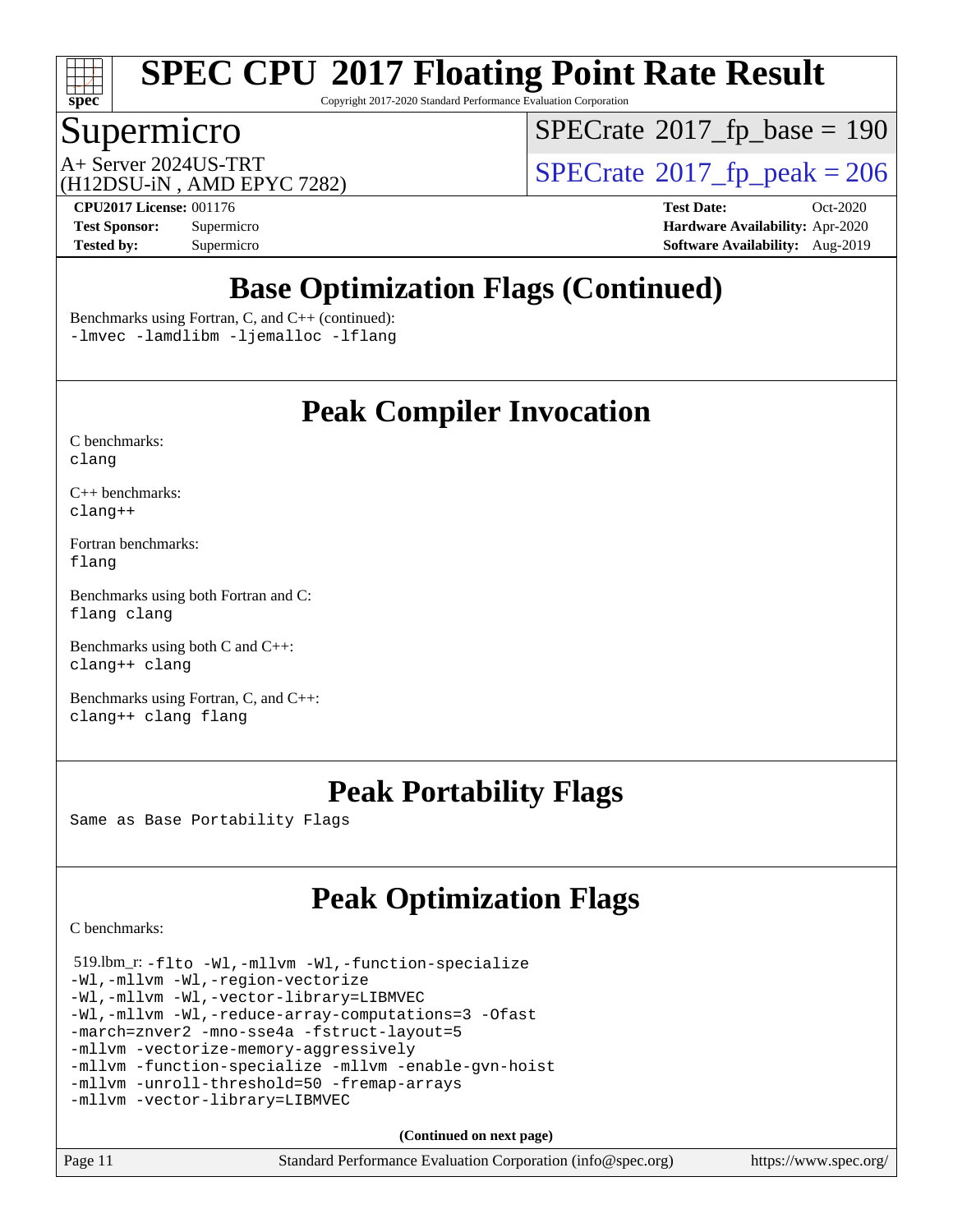

Copyright 2017-2020 Standard Performance Evaluation Corporation

## Supermicro

 $SPECrate$ <sup>®</sup>[2017\\_fp\\_base =](http://www.spec.org/auto/cpu2017/Docs/result-fields.html#SPECrate2017fpbase) 190

(H12DSU-iN , AMD EPYC 7282)

 $A+$  Server 2024US-TRT  $\begin{array}{c|c}\n\text{SPECrate} \text{\textdegree}2017\_fp\_peak = 206 \\
\text{SPECrate} \text{\textdegree}2017\_fp\_peak = 206\n\end{array}$  $\begin{array}{c|c}\n\text{SPECrate} \text{\textdegree}2017\_fp\_peak = 206 \\
\text{SPECrate} \text{\textdegree}2017\_fp\_peak = 206\n\end{array}$  $\begin{array}{c|c}\n\text{SPECrate} \text{\textdegree}2017\_fp\_peak = 206 \\
\text{SPECrate} \text{\textdegree}2017\_fp\_peak = 206\n\end{array}$ 

**[CPU2017 License:](http://www.spec.org/auto/cpu2017/Docs/result-fields.html#CPU2017License)** 001176 **[Test Date:](http://www.spec.org/auto/cpu2017/Docs/result-fields.html#TestDate)** Oct-2020 **[Test Sponsor:](http://www.spec.org/auto/cpu2017/Docs/result-fields.html#TestSponsor)** Supermicro **[Hardware Availability:](http://www.spec.org/auto/cpu2017/Docs/result-fields.html#HardwareAvailability)** Apr-2020 **[Tested by:](http://www.spec.org/auto/cpu2017/Docs/result-fields.html#Testedby)** Supermicro **[Software Availability:](http://www.spec.org/auto/cpu2017/Docs/result-fields.html#SoftwareAvailability)** Aug-2019

# **[Base Optimization Flags \(Continued\)](http://www.spec.org/auto/cpu2017/Docs/result-fields.html#BaseOptimizationFlags)**

[Benchmarks using Fortran, C, and C++](http://www.spec.org/auto/cpu2017/Docs/result-fields.html#BenchmarksusingFortranCandCXX) (continued):

[-lmvec](http://www.spec.org/cpu2017/results/res2020q4/cpu2017-20201027-24309.flags.html#user_CC_CXX_FCbase_F-lmvec) [-lamdlibm](http://www.spec.org/cpu2017/results/res2020q4/cpu2017-20201027-24309.flags.html#user_CC_CXX_FCbase_F-lamdlibm) [-ljemalloc](http://www.spec.org/cpu2017/results/res2020q4/cpu2017-20201027-24309.flags.html#user_CC_CXX_FCbase_jemalloc-lib) [-lflang](http://www.spec.org/cpu2017/results/res2020q4/cpu2017-20201027-24309.flags.html#user_CC_CXX_FCbase_F-lflang)

## **[Peak Compiler Invocation](http://www.spec.org/auto/cpu2017/Docs/result-fields.html#PeakCompilerInvocation)**

[C benchmarks](http://www.spec.org/auto/cpu2017/Docs/result-fields.html#Cbenchmarks): [clang](http://www.spec.org/cpu2017/results/res2020q4/cpu2017-20201027-24309.flags.html#user_CCpeak_clang-c)

[C++ benchmarks:](http://www.spec.org/auto/cpu2017/Docs/result-fields.html#CXXbenchmarks) [clang++](http://www.spec.org/cpu2017/results/res2020q4/cpu2017-20201027-24309.flags.html#user_CXXpeak_clang-cpp)

[Fortran benchmarks](http://www.spec.org/auto/cpu2017/Docs/result-fields.html#Fortranbenchmarks): [flang](http://www.spec.org/cpu2017/results/res2020q4/cpu2017-20201027-24309.flags.html#user_FCpeak_flang)

[Benchmarks using both Fortran and C](http://www.spec.org/auto/cpu2017/Docs/result-fields.html#BenchmarksusingbothFortranandC): [flang](http://www.spec.org/cpu2017/results/res2020q4/cpu2017-20201027-24309.flags.html#user_CC_FCpeak_flang) [clang](http://www.spec.org/cpu2017/results/res2020q4/cpu2017-20201027-24309.flags.html#user_CC_FCpeak_clang-c)

[Benchmarks using both C and C++](http://www.spec.org/auto/cpu2017/Docs/result-fields.html#BenchmarksusingbothCandCXX): [clang++](http://www.spec.org/cpu2017/results/res2020q4/cpu2017-20201027-24309.flags.html#user_CC_CXXpeak_clang-cpp) [clang](http://www.spec.org/cpu2017/results/res2020q4/cpu2017-20201027-24309.flags.html#user_CC_CXXpeak_clang-c)

[Benchmarks using Fortran, C, and C++:](http://www.spec.org/auto/cpu2017/Docs/result-fields.html#BenchmarksusingFortranCandCXX) [clang++](http://www.spec.org/cpu2017/results/res2020q4/cpu2017-20201027-24309.flags.html#user_CC_CXX_FCpeak_clang-cpp) [clang](http://www.spec.org/cpu2017/results/res2020q4/cpu2017-20201027-24309.flags.html#user_CC_CXX_FCpeak_clang-c) [flang](http://www.spec.org/cpu2017/results/res2020q4/cpu2017-20201027-24309.flags.html#user_CC_CXX_FCpeak_flang)

## **[Peak Portability Flags](http://www.spec.org/auto/cpu2017/Docs/result-fields.html#PeakPortabilityFlags)**

Same as Base Portability Flags

# **[Peak Optimization Flags](http://www.spec.org/auto/cpu2017/Docs/result-fields.html#PeakOptimizationFlags)**

[C benchmarks](http://www.spec.org/auto/cpu2017/Docs/result-fields.html#Cbenchmarks):

 519.lbm\_r: [-flto](http://www.spec.org/cpu2017/results/res2020q4/cpu2017-20201027-24309.flags.html#user_peakCOPTIMIZELDFLAGS519_lbm_r_aocc-flto) [-Wl,-mllvm -Wl,-function-specialize](http://www.spec.org/cpu2017/results/res2020q4/cpu2017-20201027-24309.flags.html#user_peakLDFLAGS519_lbm_r_F-function-specialize_7e7e661e57922243ee67c9a1251cb8910e607325179a0ce7f2884e09a6f5d4a5ef0ae4f37e8a2a11c95fc48e931f06dc2b6016f14b511fcb441e048bef1b065a) [-Wl,-mllvm -Wl,-region-vectorize](http://www.spec.org/cpu2017/results/res2020q4/cpu2017-20201027-24309.flags.html#user_peakLDFLAGS519_lbm_r_F-region-vectorize_fb6c6b5aa293c88efc6c7c2b52b20755e943585b1fe8658c35afef78727fff56e1a56891413c30e36b8e2a6f9a71126986319243e80eb6110b78b288f533c52b) [-Wl,-mllvm -Wl,-vector-library=LIBMVEC](http://www.spec.org/cpu2017/results/res2020q4/cpu2017-20201027-24309.flags.html#user_peakLDFLAGS519_lbm_r_F-use-vector-library_0a14b27fae317f283640384a31f7bfcc2bd4c1d0b5cfc618a3a430800c9b20217b00f61303eff223a3251b4f06ffbc9739dc5296db9d1fbb9ad24a3939d86d66) [-Wl,-mllvm -Wl,-reduce-array-computations=3](http://www.spec.org/cpu2017/results/res2020q4/cpu2017-20201027-24309.flags.html#user_peakLDFLAGS519_lbm_r_F-reduce-array-computations_b882aefe7a5dda4e33149f6299762b9a720dace3e498e13756f4c04e5a19edf5315c1f3993de2e61ec41e8c206231f84e05da7040e1bb5d69ba27d10a12507e4) [-Ofast](http://www.spec.org/cpu2017/results/res2020q4/cpu2017-20201027-24309.flags.html#user_peakCOPTIMIZE519_lbm_r_aocc-Ofast) [-march=znver2](http://www.spec.org/cpu2017/results/res2020q4/cpu2017-20201027-24309.flags.html#user_peakCOPTIMIZE519_lbm_r_aocc-march_3e2e19cff2eeef60c5d90b059483627c9ea47eca6d66670dbd53f9185f6439e27eb5e104cf773e9e8ab18c8842ce63e461a3e948d0214bd567ef3ade411bf467) [-mno-sse4a](http://www.spec.org/cpu2017/results/res2020q4/cpu2017-20201027-24309.flags.html#user_peakCOPTIMIZE519_lbm_r_F-mno-sse4a) [-fstruct-layout=5](http://www.spec.org/cpu2017/results/res2020q4/cpu2017-20201027-24309.flags.html#user_peakCOPTIMIZE519_lbm_r_F-struct-layout_0de9d3561e9f54a54e0843cce081bd13a08ab3e9a82696f3346606c2e11360c37113781019b02fa128d9f650e68f1ffd209bab5c3a026c1ad23e4e7f60646b23) [-mllvm -vectorize-memory-aggressively](http://www.spec.org/cpu2017/results/res2020q4/cpu2017-20201027-24309.flags.html#user_peakCOPTIMIZE519_lbm_r_F-vectorize-memory-aggressively_24b72a4417f50ade9e698c5b3bed87ab456cc6fc8ec6439480cb84f36ad6a3975af6e87206dea402e3871a1464ff3d60bc798e0250f330177ba629a260df1857) [-mllvm -function-specialize](http://www.spec.org/cpu2017/results/res2020q4/cpu2017-20201027-24309.flags.html#user_peakCOPTIMIZE519_lbm_r_F-function-specialize_233b3bdba86027f1b094368157e481c5bc59f40286dc25bfadc1858dcd5745c24fd30d5f188710db7fea399bcc9f44a80b3ce3aacc70a8870250c3ae5e1f35b8) [-mllvm -enable-gvn-hoist](http://www.spec.org/cpu2017/results/res2020q4/cpu2017-20201027-24309.flags.html#user_peakCOPTIMIZE519_lbm_r_F-enable-gvn-hoist_e5856354646dd6ca1333a0ad99b817e4cf8932b91b82809fd8fd47ceff7b22a89eba5c98fd3e3fa5200368fd772cec3dd56abc3c8f7b655a71b9f9848dddedd5) [-mllvm -unroll-threshold=50](http://www.spec.org/cpu2017/results/res2020q4/cpu2017-20201027-24309.flags.html#user_peakCOPTIMIZE519_lbm_r_F-unroll-threshold_458874500b2c105d6d5cb4d7a611c40e2b16e9e3d26b355fea72d644c3673b4de4b3932662f0ed3dbec75c491a13da2d2ca81180bd779dc531083ef1e1e549dc) [-fremap-arrays](http://www.spec.org/cpu2017/results/res2020q4/cpu2017-20201027-24309.flags.html#user_peakCOPTIMIZE519_lbm_r_F-fremap-arrays) [-mllvm -vector-library=LIBMVEC](http://www.spec.org/cpu2017/results/res2020q4/cpu2017-20201027-24309.flags.html#user_peakCOPTIMIZE519_lbm_r_F-use-vector-library_e584e20b4f7ec96aa109254b65d8e01d864f3d68580371b9d93ed7c338191d4cfce20c3c864632264effc6bbe4c7c38153d02096a342ee92501c4a53204a7871)

**(Continued on next page)**

| -11 | Standard |
|-----|----------|
|     |          |

Page 11 Standard Performance Evaluation Corporation [\(info@spec.org\)](mailto:info@spec.org) <https://www.spec.org/>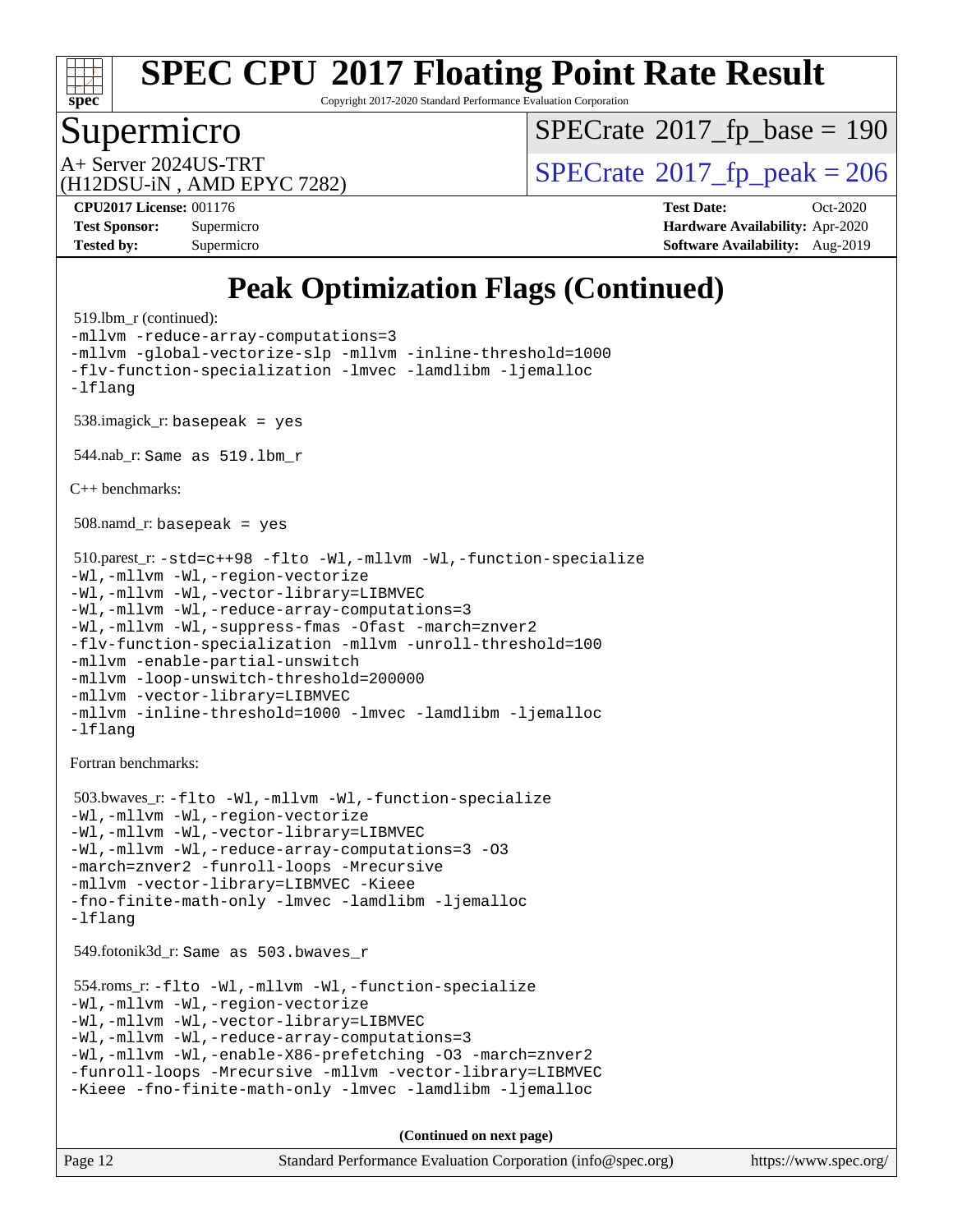

Copyright 2017-2020 Standard Performance Evaluation Corporation

## Supermicro

 $SPECTate$ <sup>®</sup>[2017\\_fp\\_base =](http://www.spec.org/auto/cpu2017/Docs/result-fields.html#SPECrate2017fpbase) 190

(H12DSU-iN , AMD EPYC 7282)

 $A+$  Server 2024US-TRT  $\begin{array}{c|c}\n\text{SPECrate} \text{\textdegree}2017\_fp\_peak = 206 \\
\text{SPECrate} \text{\textdegree}2017\_fp\_peak = 206\n\end{array}$  $\begin{array}{c|c}\n\text{SPECrate} \text{\textdegree}2017\_fp\_peak = 206 \\
\text{SPECrate} \text{\textdegree}2017\_fp\_peak = 206\n\end{array}$  $\begin{array}{c|c}\n\text{SPECrate} \text{\textdegree}2017\_fp\_peak = 206 \\
\text{SPECrate} \text{\textdegree}2017\_fp\_peak = 206\n\end{array}$ 

**[CPU2017 License:](http://www.spec.org/auto/cpu2017/Docs/result-fields.html#CPU2017License)** 001176 **[Test Date:](http://www.spec.org/auto/cpu2017/Docs/result-fields.html#TestDate)** Oct-2020 **[Test Sponsor:](http://www.spec.org/auto/cpu2017/Docs/result-fields.html#TestSponsor)** Supermicro **[Hardware Availability:](http://www.spec.org/auto/cpu2017/Docs/result-fields.html#HardwareAvailability)** Apr-2020 **[Tested by:](http://www.spec.org/auto/cpu2017/Docs/result-fields.html#Testedby)** Supermicro **[Software Availability:](http://www.spec.org/auto/cpu2017/Docs/result-fields.html#SoftwareAvailability)** Aug-2019

# **[Peak Optimization Flags \(Continued\)](http://www.spec.org/auto/cpu2017/Docs/result-fields.html#PeakOptimizationFlags)**

```
 519.lbm_r (continued):
-mllvm -reduce-array-computations=3
-mllvm -global-vectorize-slp -mllvm -inline-threshold=1000
-flv-function-specialization -lmvec -lamdlibm -ljemalloc
-lflang
 538.imagick_r: basepeak = yes
 544.nab_r: Same as 519.lbm_r
C++ benchmarks: 
 508.namd_r: basepeak = yes
 510.parest_r: -std=c++98 -flto -Wl,-mllvm -Wl,-function-specialize
-Wl,-mllvm -Wl,-region-vectorize
-Wl,-mllvm -Wl,-vector-library=LIBMVEC
-Wl,-mllvm -Wl,-reduce-array-computations=3
-Wl,-mllvm -Wl,-suppress-fmas -Ofast -march=znver2
-flv-function-specialization -mllvm -unroll-threshold=100
-mllvm -enable-partial-unswitch
-mllvm -loop-unswitch-threshold=200000
-mllvm -vector-library=LIBMVEC
-mllvm -inline-threshold=1000 -lmvec -lamdlibm -ljemalloc
-lflang
Fortran benchmarks: 
 503.bwaves_r: -flto -Wl,-mllvm -Wl,-function-specialize
-Wl,-mllvm -Wl,-region-vectorize
-Wl,-mllvm -Wl,-vector-library=LIBMVEC
-Wl,-mllvm -Wl,-reduce-array-computations=3 -O3
-march=znver2 -funroll-loops -Mrecursive
-mllvm -vector-library=LIBMVEC -Kieee
-fno-finite-math-only -lmvec -lamdlibm -ljemalloc
-lflang
 549.fotonik3d_r: Same as 503.bwaves_r
 554.roms_r: -flto -Wl,-mllvm -Wl,-function-specialize
-Wl,-mllvm -Wl,-region-vectorize
-Wl,-mllvm -Wl,-vector-library=LIBMVEC
-Wl,-mllvm -Wl,-reduce-array-computations=3
-Wl,-mllvm -Wl,-enable-X86-prefetching -O3 -march=znver2
-funroll-loops -Mrecursive -mllvm -vector-library=LIBMVEC
-Kieee -fno-finite-math-only -lmvec -lamdlibm -ljemalloc
                                     (Continued on next page)
```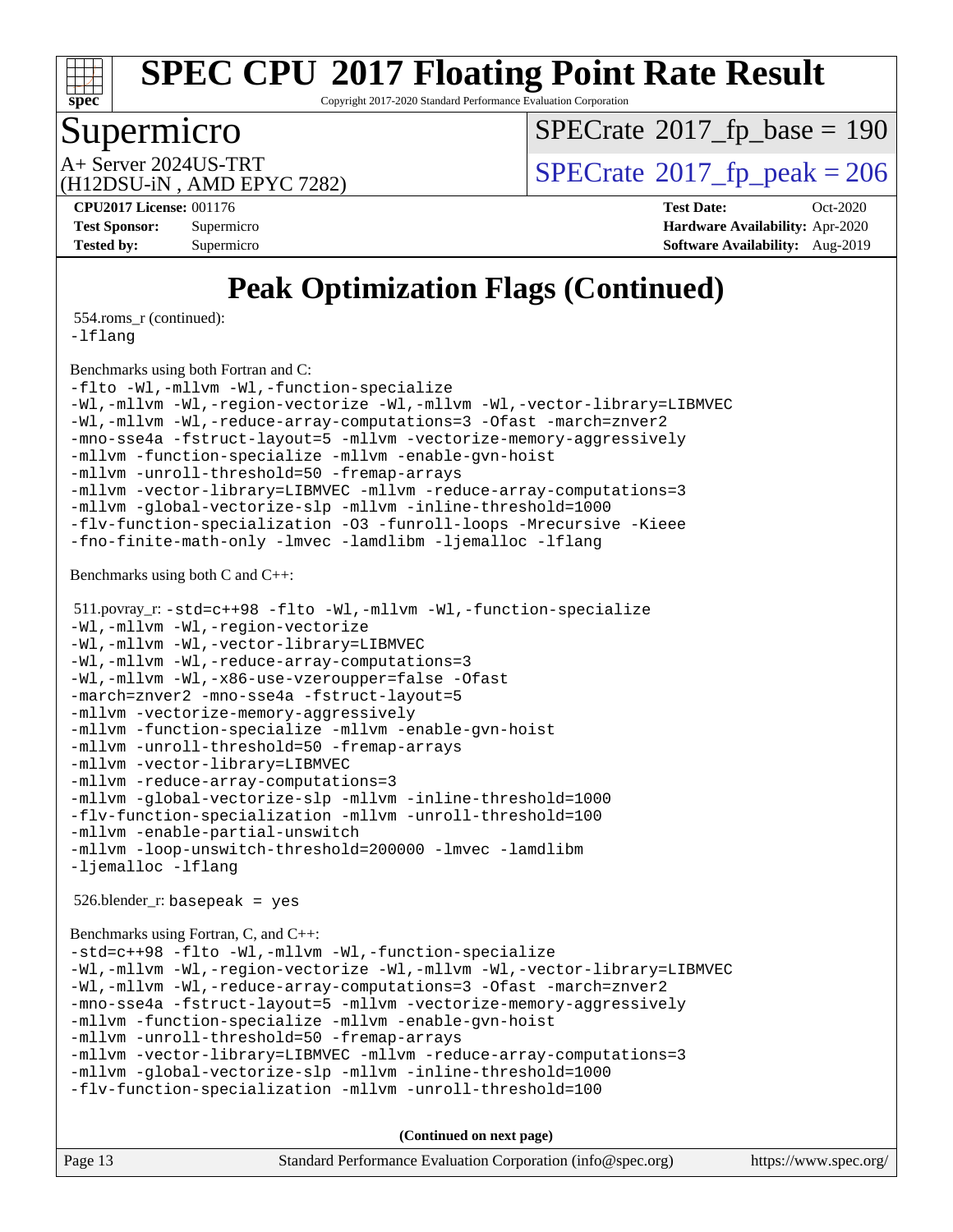

Copyright 2017-2020 Standard Performance Evaluation Corporation

## Supermicro

 $SPECTate$ <sup>®</sup>[2017\\_fp\\_base =](http://www.spec.org/auto/cpu2017/Docs/result-fields.html#SPECrate2017fpbase) 190

(H12DSU-iN , AMD EPYC 7282)

A+ Server 2024US-TRT<br>  $\langle \text{H12DSIL-N} \rangle$  AMD FPYC 7282)

**[CPU2017 License:](http://www.spec.org/auto/cpu2017/Docs/result-fields.html#CPU2017License)** 001176 **[Test Date:](http://www.spec.org/auto/cpu2017/Docs/result-fields.html#TestDate)** Oct-2020 **[Test Sponsor:](http://www.spec.org/auto/cpu2017/Docs/result-fields.html#TestSponsor)** Supermicro **[Hardware Availability:](http://www.spec.org/auto/cpu2017/Docs/result-fields.html#HardwareAvailability)** Apr-2020 **[Tested by:](http://www.spec.org/auto/cpu2017/Docs/result-fields.html#Testedby)** Supermicro **Supermicro [Software Availability:](http://www.spec.org/auto/cpu2017/Docs/result-fields.html#SoftwareAvailability)** Aug-2019

# **[Peak Optimization Flags \(Continued\)](http://www.spec.org/auto/cpu2017/Docs/result-fields.html#PeakOptimizationFlags)**

554.roms\_r (continued):

[-lflang](http://www.spec.org/cpu2017/results/res2020q4/cpu2017-20201027-24309.flags.html#user_peakEXTRA_LIBS554_roms_r_F-lflang)

[Benchmarks using both Fortran and C](http://www.spec.org/auto/cpu2017/Docs/result-fields.html#BenchmarksusingbothFortranandC):

[-flto](http://www.spec.org/cpu2017/results/res2020q4/cpu2017-20201027-24309.flags.html#user_CC_FCpeak_aocc-flto) [-Wl,-mllvm -Wl,-function-specialize](http://www.spec.org/cpu2017/results/res2020q4/cpu2017-20201027-24309.flags.html#user_CC_FCpeak_F-function-specialize_7e7e661e57922243ee67c9a1251cb8910e607325179a0ce7f2884e09a6f5d4a5ef0ae4f37e8a2a11c95fc48e931f06dc2b6016f14b511fcb441e048bef1b065a) [-Wl,-mllvm -Wl,-region-vectorize](http://www.spec.org/cpu2017/results/res2020q4/cpu2017-20201027-24309.flags.html#user_CC_FCpeak_F-region-vectorize_fb6c6b5aa293c88efc6c7c2b52b20755e943585b1fe8658c35afef78727fff56e1a56891413c30e36b8e2a6f9a71126986319243e80eb6110b78b288f533c52b) [-Wl,-mllvm -Wl,-vector-library=LIBMVEC](http://www.spec.org/cpu2017/results/res2020q4/cpu2017-20201027-24309.flags.html#user_CC_FCpeak_F-use-vector-library_0a14b27fae317f283640384a31f7bfcc2bd4c1d0b5cfc618a3a430800c9b20217b00f61303eff223a3251b4f06ffbc9739dc5296db9d1fbb9ad24a3939d86d66) [-Wl,-mllvm -Wl,-reduce-array-computations=3](http://www.spec.org/cpu2017/results/res2020q4/cpu2017-20201027-24309.flags.html#user_CC_FCpeak_F-reduce-array-computations_b882aefe7a5dda4e33149f6299762b9a720dace3e498e13756f4c04e5a19edf5315c1f3993de2e61ec41e8c206231f84e05da7040e1bb5d69ba27d10a12507e4) [-Ofast](http://www.spec.org/cpu2017/results/res2020q4/cpu2017-20201027-24309.flags.html#user_CC_FCpeak_aocc-Ofast) [-march=znver2](http://www.spec.org/cpu2017/results/res2020q4/cpu2017-20201027-24309.flags.html#user_CC_FCpeak_aocc-march_3e2e19cff2eeef60c5d90b059483627c9ea47eca6d66670dbd53f9185f6439e27eb5e104cf773e9e8ab18c8842ce63e461a3e948d0214bd567ef3ade411bf467) [-mno-sse4a](http://www.spec.org/cpu2017/results/res2020q4/cpu2017-20201027-24309.flags.html#user_CC_FCpeak_F-mno-sse4a) [-fstruct-layout=5](http://www.spec.org/cpu2017/results/res2020q4/cpu2017-20201027-24309.flags.html#user_CC_FCpeak_F-struct-layout_0de9d3561e9f54a54e0843cce081bd13a08ab3e9a82696f3346606c2e11360c37113781019b02fa128d9f650e68f1ffd209bab5c3a026c1ad23e4e7f60646b23) [-mllvm -vectorize-memory-aggressively](http://www.spec.org/cpu2017/results/res2020q4/cpu2017-20201027-24309.flags.html#user_CC_FCpeak_F-vectorize-memory-aggressively_24b72a4417f50ade9e698c5b3bed87ab456cc6fc8ec6439480cb84f36ad6a3975af6e87206dea402e3871a1464ff3d60bc798e0250f330177ba629a260df1857) [-mllvm -function-specialize](http://www.spec.org/cpu2017/results/res2020q4/cpu2017-20201027-24309.flags.html#user_CC_FCpeak_F-function-specialize_233b3bdba86027f1b094368157e481c5bc59f40286dc25bfadc1858dcd5745c24fd30d5f188710db7fea399bcc9f44a80b3ce3aacc70a8870250c3ae5e1f35b8) [-mllvm -enable-gvn-hoist](http://www.spec.org/cpu2017/results/res2020q4/cpu2017-20201027-24309.flags.html#user_CC_FCpeak_F-enable-gvn-hoist_e5856354646dd6ca1333a0ad99b817e4cf8932b91b82809fd8fd47ceff7b22a89eba5c98fd3e3fa5200368fd772cec3dd56abc3c8f7b655a71b9f9848dddedd5) [-mllvm -unroll-threshold=50](http://www.spec.org/cpu2017/results/res2020q4/cpu2017-20201027-24309.flags.html#user_CC_FCpeak_F-unroll-threshold_458874500b2c105d6d5cb4d7a611c40e2b16e9e3d26b355fea72d644c3673b4de4b3932662f0ed3dbec75c491a13da2d2ca81180bd779dc531083ef1e1e549dc) [-fremap-arrays](http://www.spec.org/cpu2017/results/res2020q4/cpu2017-20201027-24309.flags.html#user_CC_FCpeak_F-fremap-arrays) [-mllvm -vector-library=LIBMVEC](http://www.spec.org/cpu2017/results/res2020q4/cpu2017-20201027-24309.flags.html#user_CC_FCpeak_F-use-vector-library_e584e20b4f7ec96aa109254b65d8e01d864f3d68580371b9d93ed7c338191d4cfce20c3c864632264effc6bbe4c7c38153d02096a342ee92501c4a53204a7871) [-mllvm -reduce-array-computations=3](http://www.spec.org/cpu2017/results/res2020q4/cpu2017-20201027-24309.flags.html#user_CC_FCpeak_F-reduce-array-computations_aceadb8604558b566e0e3a0d7a3c1533923dd1fa0889614e16288028922629a28d5695c24d3b3be4306b1e311c54317dfffe3a2e57fbcaabc737a1798de39145) [-mllvm -global-vectorize-slp](http://www.spec.org/cpu2017/results/res2020q4/cpu2017-20201027-24309.flags.html#user_CC_FCpeak_F-global-vectorize-slp_a3935e8627af4ced727033b1ffd4db27f4d541a363d28d82bf4c2925fb3a0fd4115d6e42d13a2829f9e024d6608eb67a85cb49770f2da5c5ac8dbc737afad603) [-mllvm -inline-threshold=1000](http://www.spec.org/cpu2017/results/res2020q4/cpu2017-20201027-24309.flags.html#user_CC_FCpeak_dragonegg-llvm-inline-threshold_b7832241b0a6397e4ecdbaf0eb7defdc10f885c2a282fa3240fdc99844d543fda39cf8a4a9dccf68cf19b5438ac3b455264f478df15da0f4988afa40d8243bab) [-flv-function-specialization](http://www.spec.org/cpu2017/results/res2020q4/cpu2017-20201027-24309.flags.html#user_CC_FCpeak_F-flv-function-specialization) [-O3](http://www.spec.org/cpu2017/results/res2020q4/cpu2017-20201027-24309.flags.html#user_CC_FCpeak_F-O3) [-funroll-loops](http://www.spec.org/cpu2017/results/res2020q4/cpu2017-20201027-24309.flags.html#user_CC_FCpeak_aocc-unroll-loops) [-Mrecursive](http://www.spec.org/cpu2017/results/res2020q4/cpu2017-20201027-24309.flags.html#user_CC_FCpeak_F-mrecursive_20a145d63f12d5750a899e17d4450b5b8b40330a9bb4af13688ca650e6fb30857bbbe44fb35cdbb895df6e5b2769de0a0d7659f51ff17acfbef6febafec4023f) [-Kieee](http://www.spec.org/cpu2017/results/res2020q4/cpu2017-20201027-24309.flags.html#user_CC_FCpeak_F-kieee) [-fno-finite-math-only](http://www.spec.org/cpu2017/results/res2020q4/cpu2017-20201027-24309.flags.html#user_CC_FCpeak_aocc-fno-finite-math-only) [-lmvec](http://www.spec.org/cpu2017/results/res2020q4/cpu2017-20201027-24309.flags.html#user_CC_FCpeak_F-lmvec) [-lamdlibm](http://www.spec.org/cpu2017/results/res2020q4/cpu2017-20201027-24309.flags.html#user_CC_FCpeak_F-lamdlibm) [-ljemalloc](http://www.spec.org/cpu2017/results/res2020q4/cpu2017-20201027-24309.flags.html#user_CC_FCpeak_jemalloc-lib) [-lflang](http://www.spec.org/cpu2017/results/res2020q4/cpu2017-20201027-24309.flags.html#user_CC_FCpeak_F-lflang)

[Benchmarks using both C and C++](http://www.spec.org/auto/cpu2017/Docs/result-fields.html#BenchmarksusingbothCandCXX):

 511.povray\_r: [-std=c++98](http://www.spec.org/cpu2017/results/res2020q4/cpu2017-20201027-24309.flags.html#user_peakCXXLD511_povray_r_std-cpp) [-flto](http://www.spec.org/cpu2017/results/res2020q4/cpu2017-20201027-24309.flags.html#user_peakCOPTIMIZECXXOPTIMIZELDFLAGS511_povray_r_aocc-flto) [-Wl,-mllvm -Wl,-function-specialize](http://www.spec.org/cpu2017/results/res2020q4/cpu2017-20201027-24309.flags.html#user_peakLDFLAGS511_povray_r_F-function-specialize_7e7e661e57922243ee67c9a1251cb8910e607325179a0ce7f2884e09a6f5d4a5ef0ae4f37e8a2a11c95fc48e931f06dc2b6016f14b511fcb441e048bef1b065a) [-Wl,-mllvm -Wl,-region-vectorize](http://www.spec.org/cpu2017/results/res2020q4/cpu2017-20201027-24309.flags.html#user_peakLDFLAGS511_povray_r_F-region-vectorize_fb6c6b5aa293c88efc6c7c2b52b20755e943585b1fe8658c35afef78727fff56e1a56891413c30e36b8e2a6f9a71126986319243e80eb6110b78b288f533c52b) [-Wl,-mllvm -Wl,-vector-library=LIBMVEC](http://www.spec.org/cpu2017/results/res2020q4/cpu2017-20201027-24309.flags.html#user_peakLDFLAGS511_povray_r_F-use-vector-library_0a14b27fae317f283640384a31f7bfcc2bd4c1d0b5cfc618a3a430800c9b20217b00f61303eff223a3251b4f06ffbc9739dc5296db9d1fbb9ad24a3939d86d66) [-Wl,-mllvm -Wl,-reduce-array-computations=3](http://www.spec.org/cpu2017/results/res2020q4/cpu2017-20201027-24309.flags.html#user_peakLDFLAGS511_povray_r_F-reduce-array-computations_b882aefe7a5dda4e33149f6299762b9a720dace3e498e13756f4c04e5a19edf5315c1f3993de2e61ec41e8c206231f84e05da7040e1bb5d69ba27d10a12507e4) [-Wl,-mllvm -Wl,-x86-use-vzeroupper=false](http://www.spec.org/cpu2017/results/res2020q4/cpu2017-20201027-24309.flags.html#user_peakLDCXXFLAGS511_povray_r_F-no-vzeroupper_f792211b0552b0142c11cf651c85f88d7eca3e3e6d4ab29ab8b0b7be9c7d83df7aebb846b5dded1424ec84d39acb59d058815f97bc3ae9de4ba00ee4e2945c83) [-Ofast](http://www.spec.org/cpu2017/results/res2020q4/cpu2017-20201027-24309.flags.html#user_peakCOPTIMIZECXXOPTIMIZE511_povray_r_aocc-Ofast) [-march=znver2](http://www.spec.org/cpu2017/results/res2020q4/cpu2017-20201027-24309.flags.html#user_peakCOPTIMIZECXXOPTIMIZE511_povray_r_aocc-march_3e2e19cff2eeef60c5d90b059483627c9ea47eca6d66670dbd53f9185f6439e27eb5e104cf773e9e8ab18c8842ce63e461a3e948d0214bd567ef3ade411bf467) [-mno-sse4a](http://www.spec.org/cpu2017/results/res2020q4/cpu2017-20201027-24309.flags.html#user_peakCOPTIMIZE511_povray_r_F-mno-sse4a) [-fstruct-layout=5](http://www.spec.org/cpu2017/results/res2020q4/cpu2017-20201027-24309.flags.html#user_peakCOPTIMIZE511_povray_r_F-struct-layout_0de9d3561e9f54a54e0843cce081bd13a08ab3e9a82696f3346606c2e11360c37113781019b02fa128d9f650e68f1ffd209bab5c3a026c1ad23e4e7f60646b23) [-mllvm -vectorize-memory-aggressively](http://www.spec.org/cpu2017/results/res2020q4/cpu2017-20201027-24309.flags.html#user_peakCOPTIMIZE511_povray_r_F-vectorize-memory-aggressively_24b72a4417f50ade9e698c5b3bed87ab456cc6fc8ec6439480cb84f36ad6a3975af6e87206dea402e3871a1464ff3d60bc798e0250f330177ba629a260df1857) [-mllvm -function-specialize](http://www.spec.org/cpu2017/results/res2020q4/cpu2017-20201027-24309.flags.html#user_peakCOPTIMIZE511_povray_r_F-function-specialize_233b3bdba86027f1b094368157e481c5bc59f40286dc25bfadc1858dcd5745c24fd30d5f188710db7fea399bcc9f44a80b3ce3aacc70a8870250c3ae5e1f35b8) [-mllvm -enable-gvn-hoist](http://www.spec.org/cpu2017/results/res2020q4/cpu2017-20201027-24309.flags.html#user_peakCOPTIMIZE511_povray_r_F-enable-gvn-hoist_e5856354646dd6ca1333a0ad99b817e4cf8932b91b82809fd8fd47ceff7b22a89eba5c98fd3e3fa5200368fd772cec3dd56abc3c8f7b655a71b9f9848dddedd5) [-mllvm -unroll-threshold=50](http://www.spec.org/cpu2017/results/res2020q4/cpu2017-20201027-24309.flags.html#user_peakCOPTIMIZE511_povray_r_F-unroll-threshold_458874500b2c105d6d5cb4d7a611c40e2b16e9e3d26b355fea72d644c3673b4de4b3932662f0ed3dbec75c491a13da2d2ca81180bd779dc531083ef1e1e549dc) [-fremap-arrays](http://www.spec.org/cpu2017/results/res2020q4/cpu2017-20201027-24309.flags.html#user_peakCOPTIMIZE511_povray_r_F-fremap-arrays) [-mllvm -vector-library=LIBMVEC](http://www.spec.org/cpu2017/results/res2020q4/cpu2017-20201027-24309.flags.html#user_peakCOPTIMIZECXXOPTIMIZE511_povray_r_F-use-vector-library_e584e20b4f7ec96aa109254b65d8e01d864f3d68580371b9d93ed7c338191d4cfce20c3c864632264effc6bbe4c7c38153d02096a342ee92501c4a53204a7871) [-mllvm -reduce-array-computations=3](http://www.spec.org/cpu2017/results/res2020q4/cpu2017-20201027-24309.flags.html#user_peakCOPTIMIZE511_povray_r_F-reduce-array-computations_aceadb8604558b566e0e3a0d7a3c1533923dd1fa0889614e16288028922629a28d5695c24d3b3be4306b1e311c54317dfffe3a2e57fbcaabc737a1798de39145) [-mllvm -global-vectorize-slp](http://www.spec.org/cpu2017/results/res2020q4/cpu2017-20201027-24309.flags.html#user_peakCOPTIMIZE511_povray_r_F-global-vectorize-slp_a3935e8627af4ced727033b1ffd4db27f4d541a363d28d82bf4c2925fb3a0fd4115d6e42d13a2829f9e024d6608eb67a85cb49770f2da5c5ac8dbc737afad603) [-mllvm -inline-threshold=1000](http://www.spec.org/cpu2017/results/res2020q4/cpu2017-20201027-24309.flags.html#user_peakCOPTIMIZECXXOPTIMIZE511_povray_r_dragonegg-llvm-inline-threshold_b7832241b0a6397e4ecdbaf0eb7defdc10f885c2a282fa3240fdc99844d543fda39cf8a4a9dccf68cf19b5438ac3b455264f478df15da0f4988afa40d8243bab) [-flv-function-specialization](http://www.spec.org/cpu2017/results/res2020q4/cpu2017-20201027-24309.flags.html#user_peakCOPTIMIZECXXOPTIMIZE511_povray_r_F-flv-function-specialization) [-mllvm -unroll-threshold=100](http://www.spec.org/cpu2017/results/res2020q4/cpu2017-20201027-24309.flags.html#user_peakCXXOPTIMIZE511_povray_r_F-unroll-threshold_2755d0c78138845d361fa1543e3a063fffa198df9b3edf0cfb856bbc88a81e1769b12ac7a550c5d35197be55360db1a3f95a8d1304df999456cabf5120c45168) [-mllvm -enable-partial-unswitch](http://www.spec.org/cpu2017/results/res2020q4/cpu2017-20201027-24309.flags.html#user_peakCXXOPTIMIZE511_povray_r_F-enable-partial-unswitch_6e1c33f981d77963b1eaf834973128a7f33ce3f8e27f54689656697a35e89dcc875281e0e6283d043e32f367dcb605ba0e307a92e830f7e326789fa6c61b35d3) [-mllvm -loop-unswitch-threshold=200000](http://www.spec.org/cpu2017/results/res2020q4/cpu2017-20201027-24309.flags.html#user_peakCXXOPTIMIZE511_povray_r_F-loop-unswitch-threshold_f9a82ae3270e55b5fbf79d0d96ee93606b73edbbe527d20b18b7bff1a3a146ad50cfc7454c5297978340ae9213029016a7d16221274d672d3f7f42ed25274e1d) [-lmvec](http://www.spec.org/cpu2017/results/res2020q4/cpu2017-20201027-24309.flags.html#user_peakEXTRA_LIBS511_povray_r_F-lmvec) [-lamdlibm](http://www.spec.org/cpu2017/results/res2020q4/cpu2017-20201027-24309.flags.html#user_peakEXTRA_LIBS511_povray_r_F-lamdlibm) [-ljemalloc](http://www.spec.org/cpu2017/results/res2020q4/cpu2017-20201027-24309.flags.html#user_peakEXTRA_LIBS511_povray_r_jemalloc-lib) [-lflang](http://www.spec.org/cpu2017/results/res2020q4/cpu2017-20201027-24309.flags.html#user_peakEXTRA_LIBS511_povray_r_F-lflang)

526.blender\_r: basepeak = yes

[Benchmarks using Fortran, C, and C++:](http://www.spec.org/auto/cpu2017/Docs/result-fields.html#BenchmarksusingFortranCandCXX)

[-std=c++98](http://www.spec.org/cpu2017/results/res2020q4/cpu2017-20201027-24309.flags.html#user_CC_CXX_FCpeak_std-cpp) [-flto](http://www.spec.org/cpu2017/results/res2020q4/cpu2017-20201027-24309.flags.html#user_CC_CXX_FCpeak_aocc-flto) [-Wl,-mllvm -Wl,-function-specialize](http://www.spec.org/cpu2017/results/res2020q4/cpu2017-20201027-24309.flags.html#user_CC_CXX_FCpeak_F-function-specialize_7e7e661e57922243ee67c9a1251cb8910e607325179a0ce7f2884e09a6f5d4a5ef0ae4f37e8a2a11c95fc48e931f06dc2b6016f14b511fcb441e048bef1b065a) [-Wl,-mllvm -Wl,-region-vectorize](http://www.spec.org/cpu2017/results/res2020q4/cpu2017-20201027-24309.flags.html#user_CC_CXX_FCpeak_F-region-vectorize_fb6c6b5aa293c88efc6c7c2b52b20755e943585b1fe8658c35afef78727fff56e1a56891413c30e36b8e2a6f9a71126986319243e80eb6110b78b288f533c52b) [-Wl,-mllvm -Wl,-vector-library=LIBMVEC](http://www.spec.org/cpu2017/results/res2020q4/cpu2017-20201027-24309.flags.html#user_CC_CXX_FCpeak_F-use-vector-library_0a14b27fae317f283640384a31f7bfcc2bd4c1d0b5cfc618a3a430800c9b20217b00f61303eff223a3251b4f06ffbc9739dc5296db9d1fbb9ad24a3939d86d66) [-Wl,-mllvm -Wl,-reduce-array-computations=3](http://www.spec.org/cpu2017/results/res2020q4/cpu2017-20201027-24309.flags.html#user_CC_CXX_FCpeak_F-reduce-array-computations_b882aefe7a5dda4e33149f6299762b9a720dace3e498e13756f4c04e5a19edf5315c1f3993de2e61ec41e8c206231f84e05da7040e1bb5d69ba27d10a12507e4) [-Ofast](http://www.spec.org/cpu2017/results/res2020q4/cpu2017-20201027-24309.flags.html#user_CC_CXX_FCpeak_aocc-Ofast) [-march=znver2](http://www.spec.org/cpu2017/results/res2020q4/cpu2017-20201027-24309.flags.html#user_CC_CXX_FCpeak_aocc-march_3e2e19cff2eeef60c5d90b059483627c9ea47eca6d66670dbd53f9185f6439e27eb5e104cf773e9e8ab18c8842ce63e461a3e948d0214bd567ef3ade411bf467) [-mno-sse4a](http://www.spec.org/cpu2017/results/res2020q4/cpu2017-20201027-24309.flags.html#user_CC_CXX_FCpeak_F-mno-sse4a) [-fstruct-layout=5](http://www.spec.org/cpu2017/results/res2020q4/cpu2017-20201027-24309.flags.html#user_CC_CXX_FCpeak_F-struct-layout_0de9d3561e9f54a54e0843cce081bd13a08ab3e9a82696f3346606c2e11360c37113781019b02fa128d9f650e68f1ffd209bab5c3a026c1ad23e4e7f60646b23) [-mllvm -vectorize-memory-aggressively](http://www.spec.org/cpu2017/results/res2020q4/cpu2017-20201027-24309.flags.html#user_CC_CXX_FCpeak_F-vectorize-memory-aggressively_24b72a4417f50ade9e698c5b3bed87ab456cc6fc8ec6439480cb84f36ad6a3975af6e87206dea402e3871a1464ff3d60bc798e0250f330177ba629a260df1857) [-mllvm -function-specialize](http://www.spec.org/cpu2017/results/res2020q4/cpu2017-20201027-24309.flags.html#user_CC_CXX_FCpeak_F-function-specialize_233b3bdba86027f1b094368157e481c5bc59f40286dc25bfadc1858dcd5745c24fd30d5f188710db7fea399bcc9f44a80b3ce3aacc70a8870250c3ae5e1f35b8) [-mllvm -enable-gvn-hoist](http://www.spec.org/cpu2017/results/res2020q4/cpu2017-20201027-24309.flags.html#user_CC_CXX_FCpeak_F-enable-gvn-hoist_e5856354646dd6ca1333a0ad99b817e4cf8932b91b82809fd8fd47ceff7b22a89eba5c98fd3e3fa5200368fd772cec3dd56abc3c8f7b655a71b9f9848dddedd5) [-mllvm -unroll-threshold=50](http://www.spec.org/cpu2017/results/res2020q4/cpu2017-20201027-24309.flags.html#user_CC_CXX_FCpeak_F-unroll-threshold_458874500b2c105d6d5cb4d7a611c40e2b16e9e3d26b355fea72d644c3673b4de4b3932662f0ed3dbec75c491a13da2d2ca81180bd779dc531083ef1e1e549dc) [-fremap-arrays](http://www.spec.org/cpu2017/results/res2020q4/cpu2017-20201027-24309.flags.html#user_CC_CXX_FCpeak_F-fremap-arrays) [-mllvm -vector-library=LIBMVEC](http://www.spec.org/cpu2017/results/res2020q4/cpu2017-20201027-24309.flags.html#user_CC_CXX_FCpeak_F-use-vector-library_e584e20b4f7ec96aa109254b65d8e01d864f3d68580371b9d93ed7c338191d4cfce20c3c864632264effc6bbe4c7c38153d02096a342ee92501c4a53204a7871) [-mllvm -reduce-array-computations=3](http://www.spec.org/cpu2017/results/res2020q4/cpu2017-20201027-24309.flags.html#user_CC_CXX_FCpeak_F-reduce-array-computations_aceadb8604558b566e0e3a0d7a3c1533923dd1fa0889614e16288028922629a28d5695c24d3b3be4306b1e311c54317dfffe3a2e57fbcaabc737a1798de39145) [-mllvm -global-vectorize-slp](http://www.spec.org/cpu2017/results/res2020q4/cpu2017-20201027-24309.flags.html#user_CC_CXX_FCpeak_F-global-vectorize-slp_a3935e8627af4ced727033b1ffd4db27f4d541a363d28d82bf4c2925fb3a0fd4115d6e42d13a2829f9e024d6608eb67a85cb49770f2da5c5ac8dbc737afad603) [-mllvm -inline-threshold=1000](http://www.spec.org/cpu2017/results/res2020q4/cpu2017-20201027-24309.flags.html#user_CC_CXX_FCpeak_dragonegg-llvm-inline-threshold_b7832241b0a6397e4ecdbaf0eb7defdc10f885c2a282fa3240fdc99844d543fda39cf8a4a9dccf68cf19b5438ac3b455264f478df15da0f4988afa40d8243bab) [-flv-function-specialization](http://www.spec.org/cpu2017/results/res2020q4/cpu2017-20201027-24309.flags.html#user_CC_CXX_FCpeak_F-flv-function-specialization) [-mllvm -unroll-threshold=100](http://www.spec.org/cpu2017/results/res2020q4/cpu2017-20201027-24309.flags.html#user_CC_CXX_FCpeak_F-unroll-threshold_2755d0c78138845d361fa1543e3a063fffa198df9b3edf0cfb856bbc88a81e1769b12ac7a550c5d35197be55360db1a3f95a8d1304df999456cabf5120c45168)

| Page 13 | Standard Performance Evaluation Corporation (info@spec.org) | https://www.spec.org/ |
|---------|-------------------------------------------------------------|-----------------------|
|---------|-------------------------------------------------------------|-----------------------|